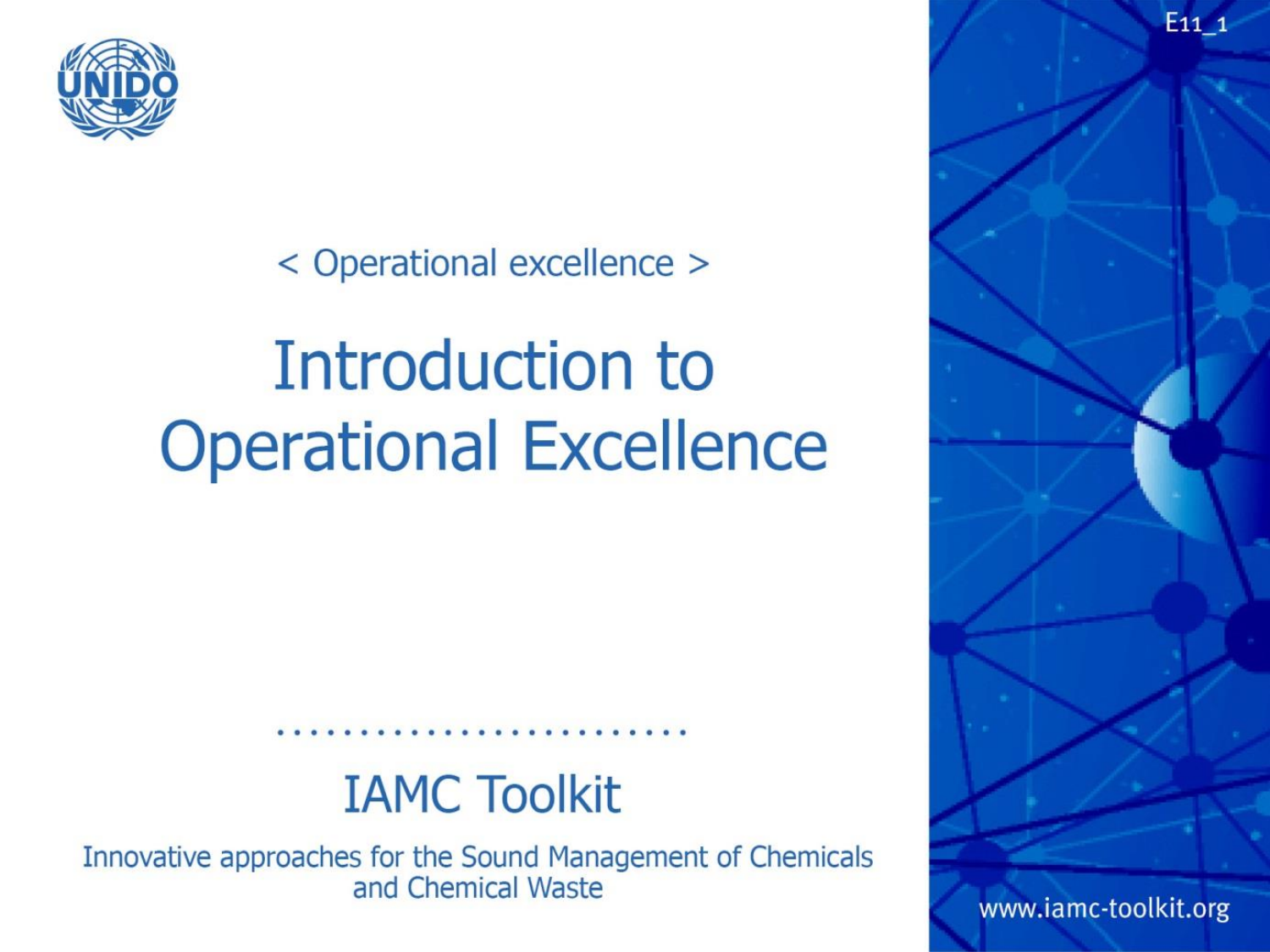

< Operational excellence >

# Introduction to **Operational Excellence**

#### **IAMC Toolkit**

Innovative approaches for the Sound Management of Chemicals and Chemical Waste

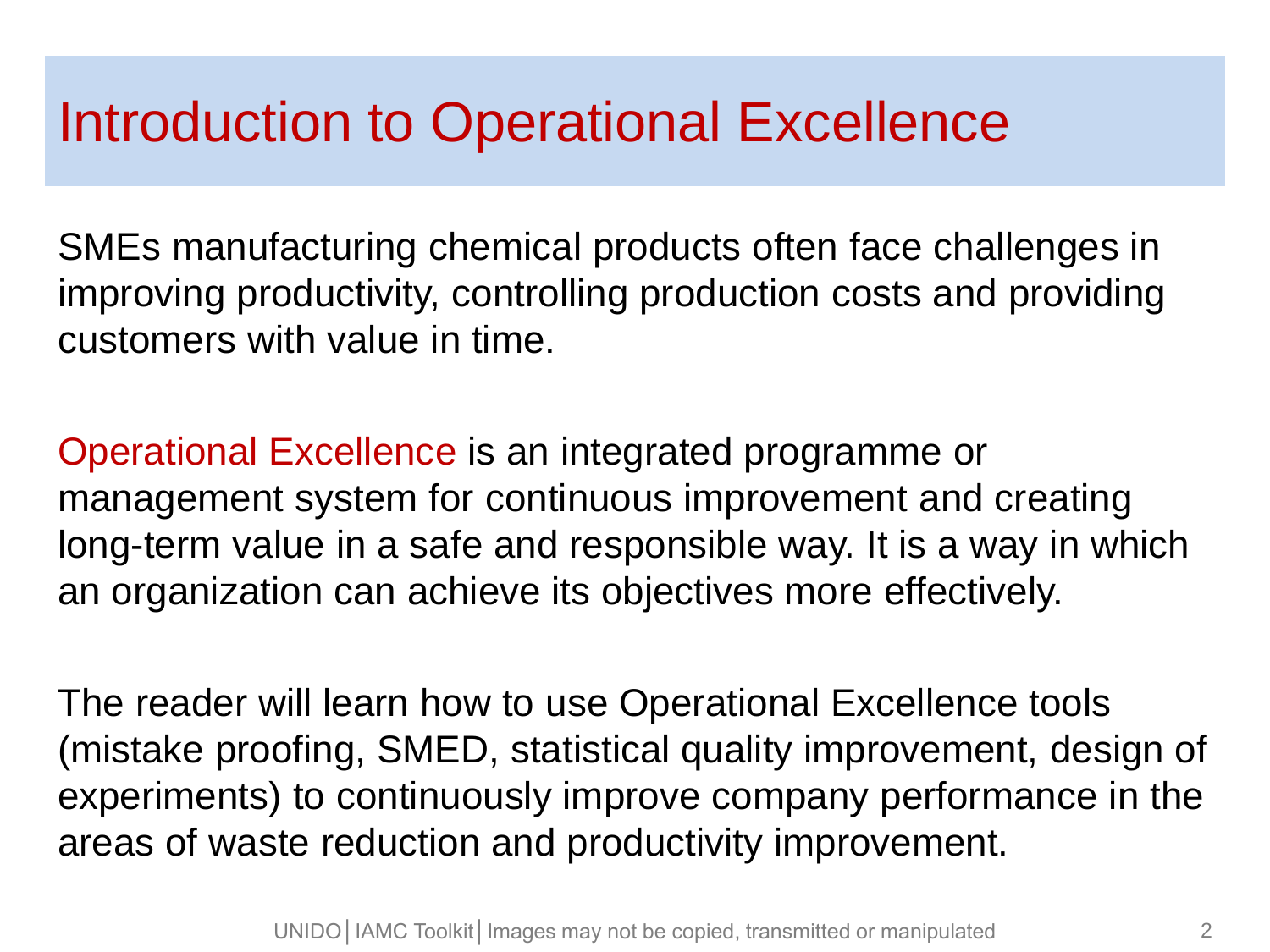#### Introduction to Operational Excellence

SMEs manufacturing chemical products often face challenges in improving productivity, controlling production costs and providing customers with value in time.

Operational Excellence is an integrated programme or management system for continuous improvement and creating long-term value in a safe and responsible way. It is a way in which an organization can achieve its objectives more effectively.

The reader will learn how to use Operational Excellence tools (mistake proofing, SMED, statistical quality improvement, design of experiments) to continuously improve company performance in the areas of waste reduction and productivity improvement.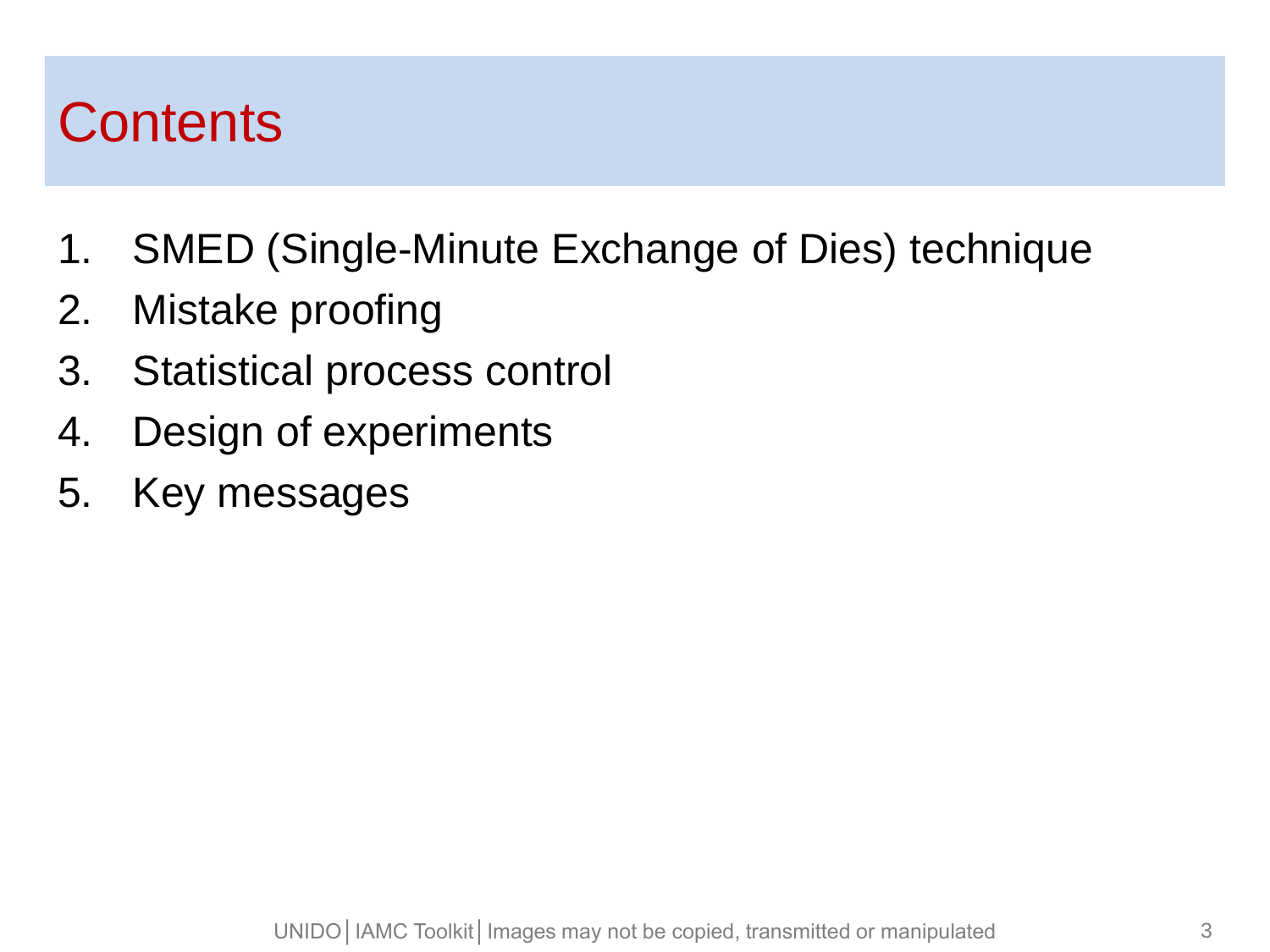#### **Contents**

- 1. SMED (Single-Minute Exchange of Dies) technique
- 2. Mistake proofing
- 3. Statistical process control
- 4. Design of experiments
- 5. Key messages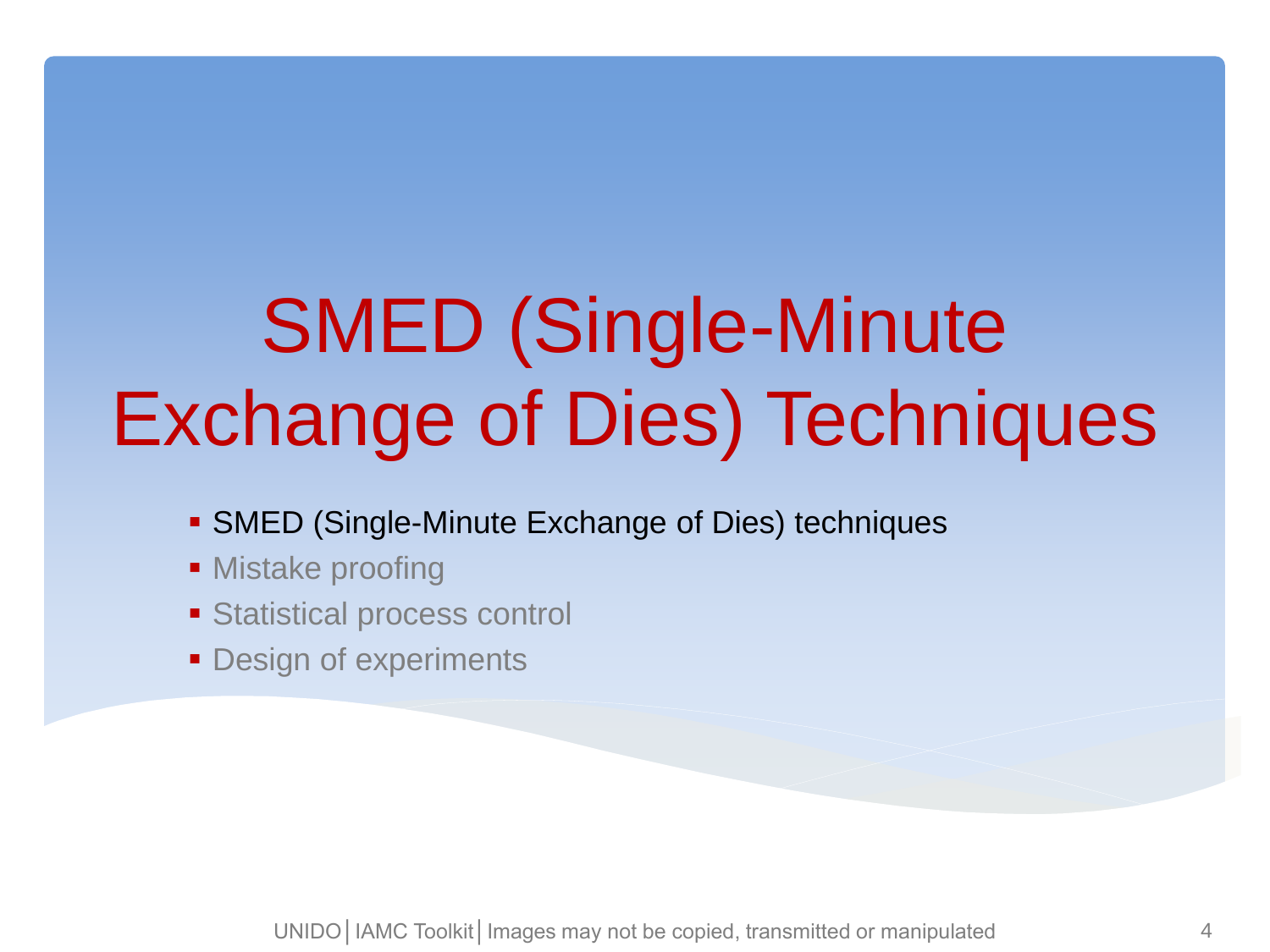# SMED (Single-Minute Exchange of Dies) Techniques

- **SMED (Single-Minute Exchange of Dies) techniques**
- Mistake proofing
- **Statistical process control**
- **Design of experiments**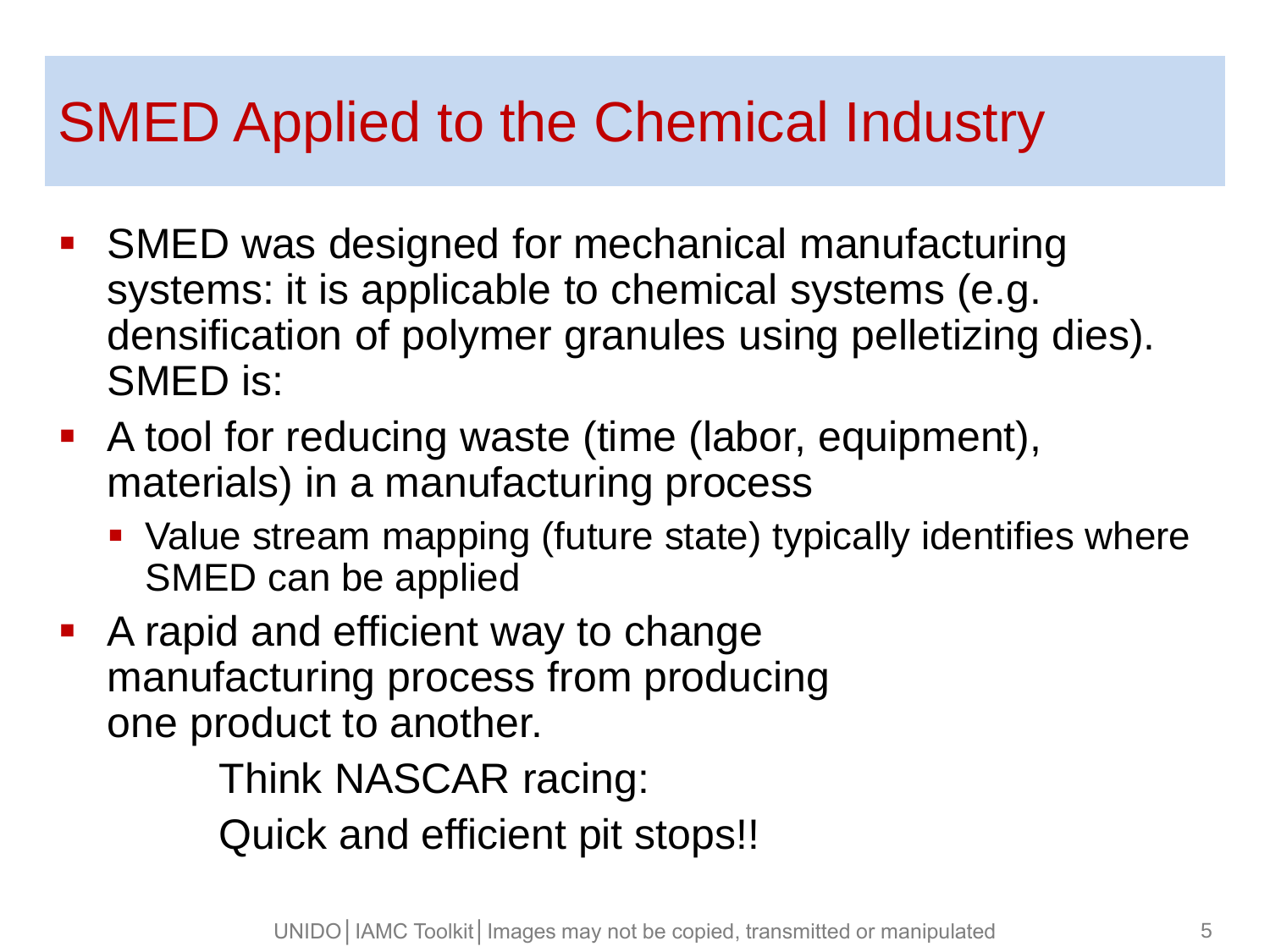### SMED Applied to the Chemical Industry

- SMED was designed for mechanical manufacturing systems: it is applicable to chemical systems (e.g. densification of polymer granules using pelletizing dies). SMED is:
- A tool for reducing waste (time (labor, equipment), materials) in a manufacturing process
	- Value stream mapping (future state) typically identifies where SMED can be applied
- A rapid and efficient way to change manufacturing process from producing one product to another.

Think NASCAR racing: Quick and efficient pit stops!!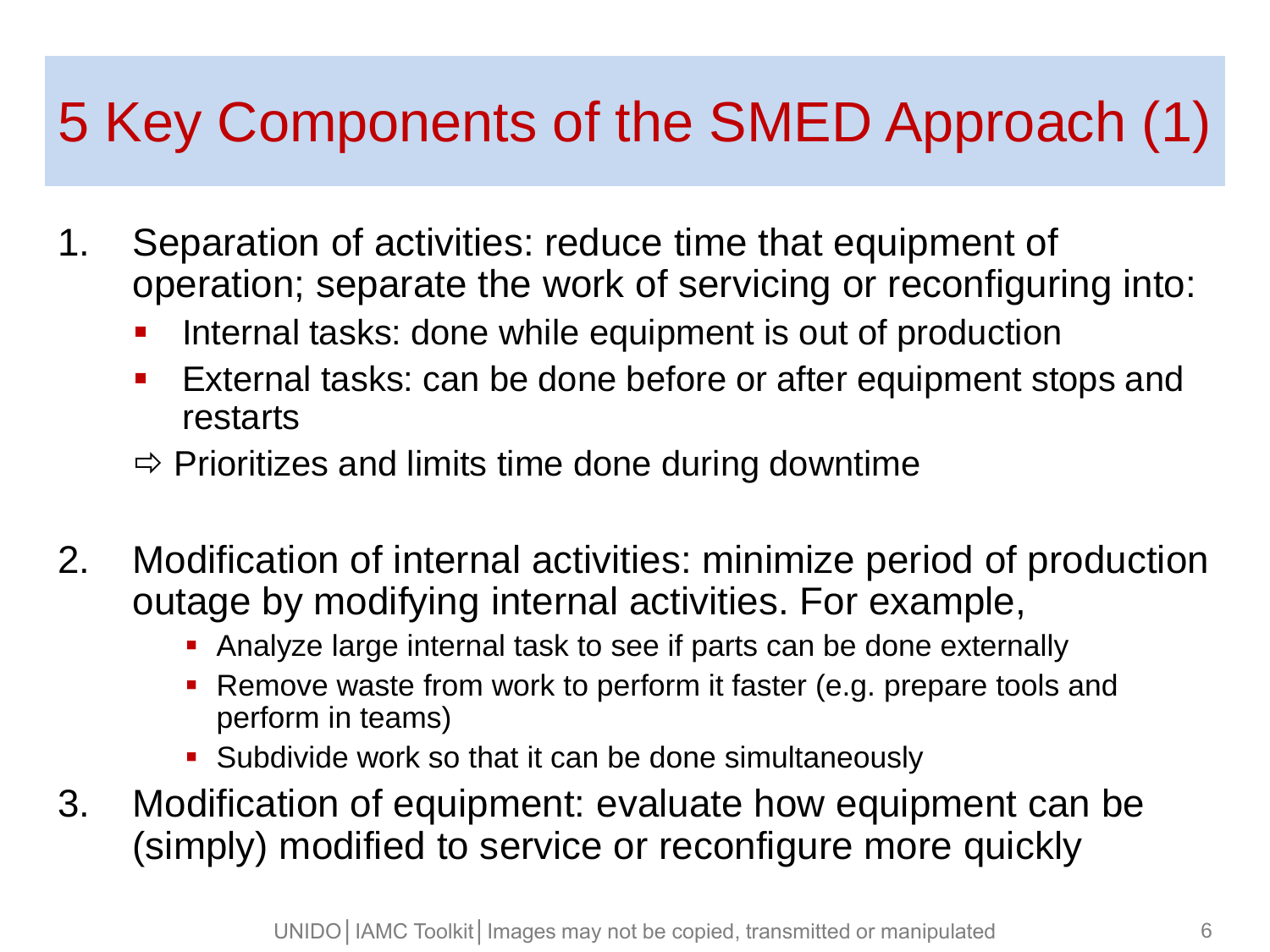## 5 Key Components of the SMED Approach (1)

- 1. Separation of activities: reduce time that equipment of operation; separate the work of servicing or reconfiguring into:
	- Internal tasks: done while equipment is out of production
	- **External tasks: can be done before or after equipment stops and** restarts
	- $\Rightarrow$  Prioritizes and limits time done during downtime
- 2. Modification of internal activities: minimize period of production outage by modifying internal activities. For example,
	- Analyze large internal task to see if parts can be done externally
	- **Remove waste from work to perform it faster (e.g. prepare tools and** perform in teams)
	- **Subdivide work so that it can be done simultaneously**
- 3. Modification of equipment: evaluate how equipment can be (simply) modified to service or reconfigure more quickly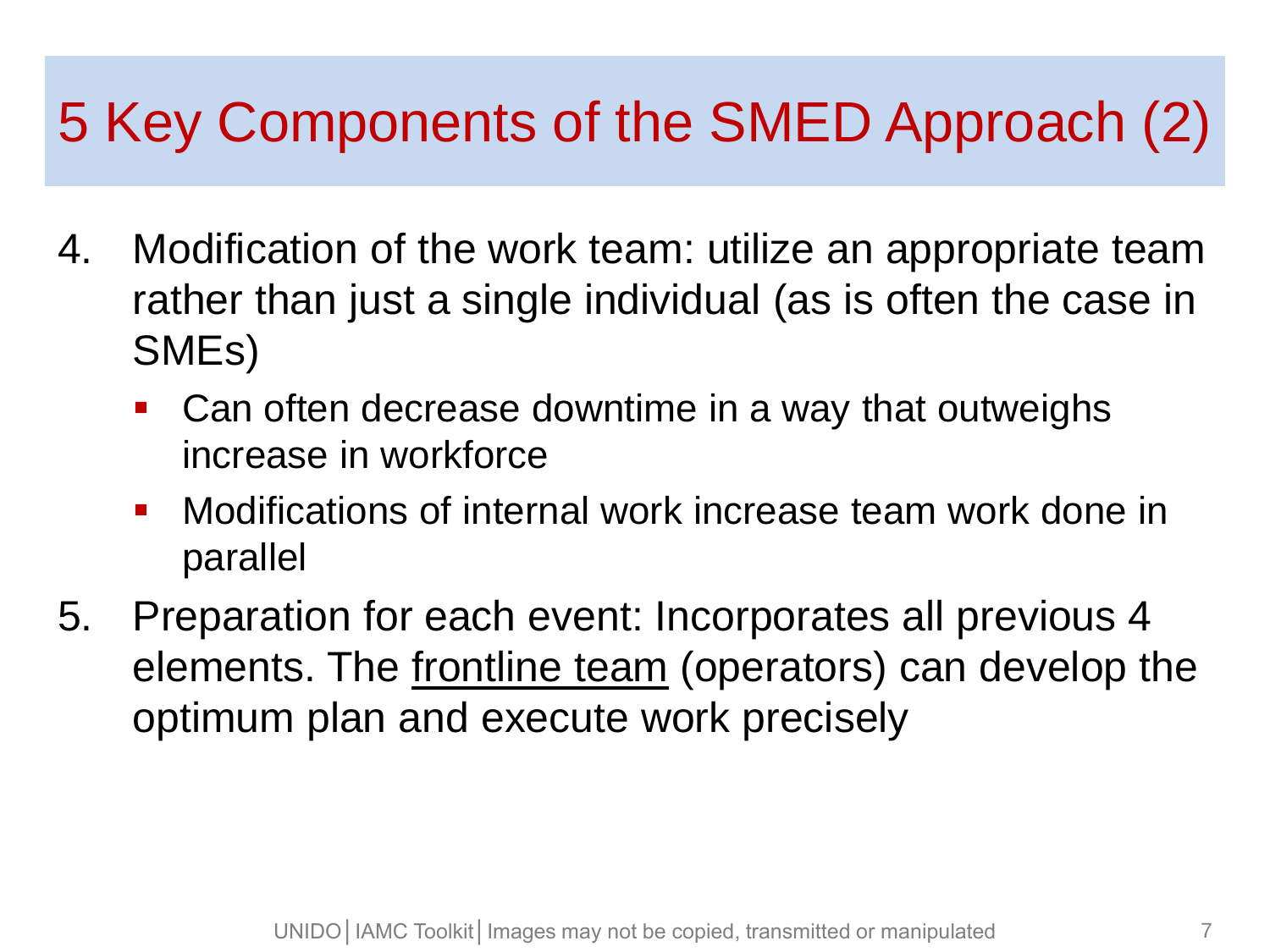## 5 Key Components of the SMED Approach (2)

- 4. Modification of the work team: utilize an appropriate team rather than just a single individual (as is often the case in SMEs)
	- Can often decrease downtime in a way that outweighs increase in workforce
	- Modifications of internal work increase team work done in parallel
- 5. Preparation for each event: Incorporates all previous 4 elements. The frontline team (operators) can develop the optimum plan and execute work precisely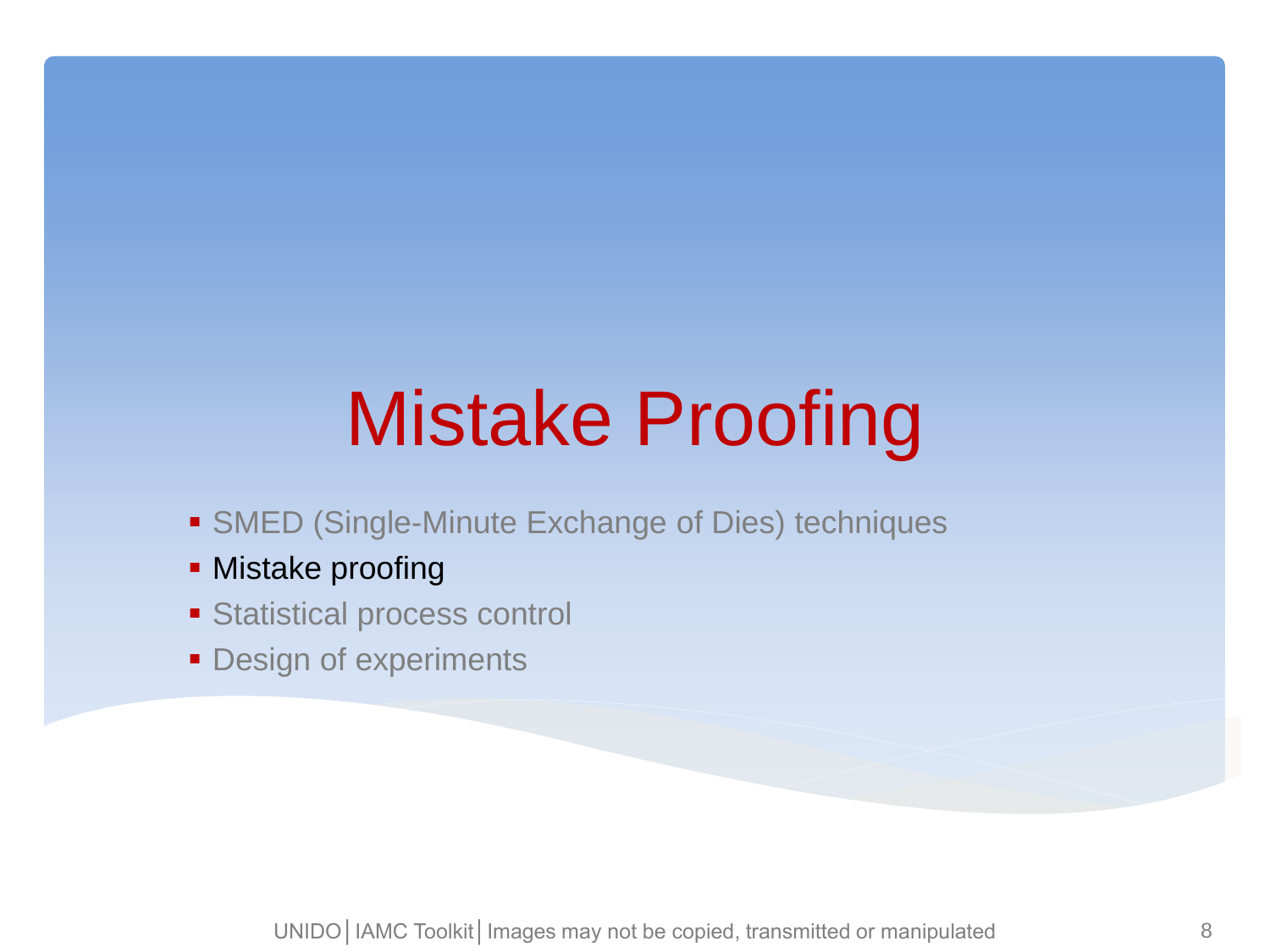# Mistake Proofing

- **SMED (Single-Minute Exchange of Dies) techniques**
- **Mistake proofing**
- Statistical process control
- **Design of experiments**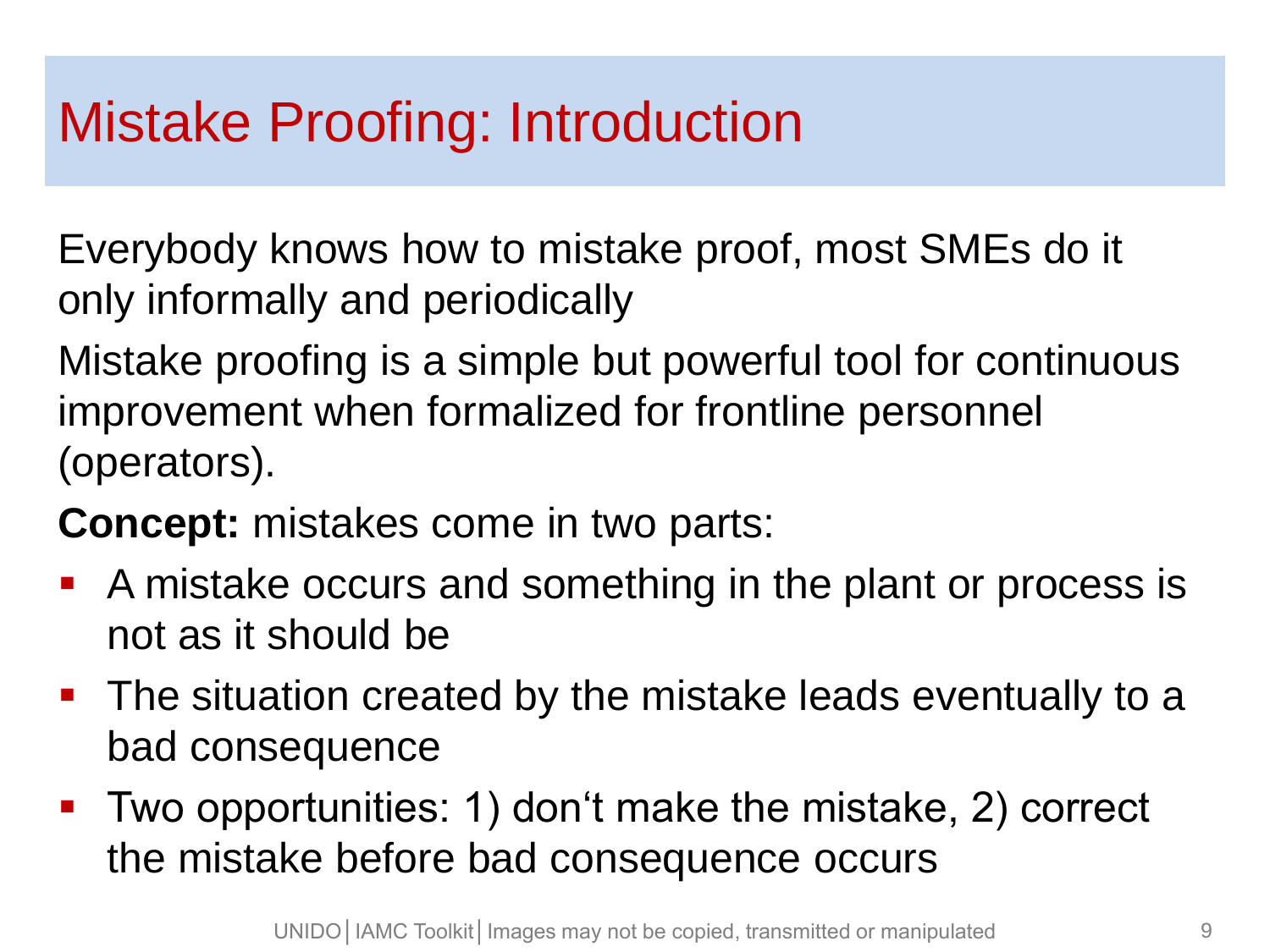### Mistake Proofing: Introduction

Everybody knows how to mistake proof, most SMEs do it only informally and periodically

Mistake proofing is a simple but powerful tool for continuous improvement when formalized for frontline personnel (operators).

**Concept:** mistakes come in two parts:

- A mistake occurs and something in the plant or process is not as it should be
- **The situation created by the mistake leads eventually to a** bad consequence
- Two opportunities: 1) don't make the mistake, 2) correct the mistake before bad consequence occurs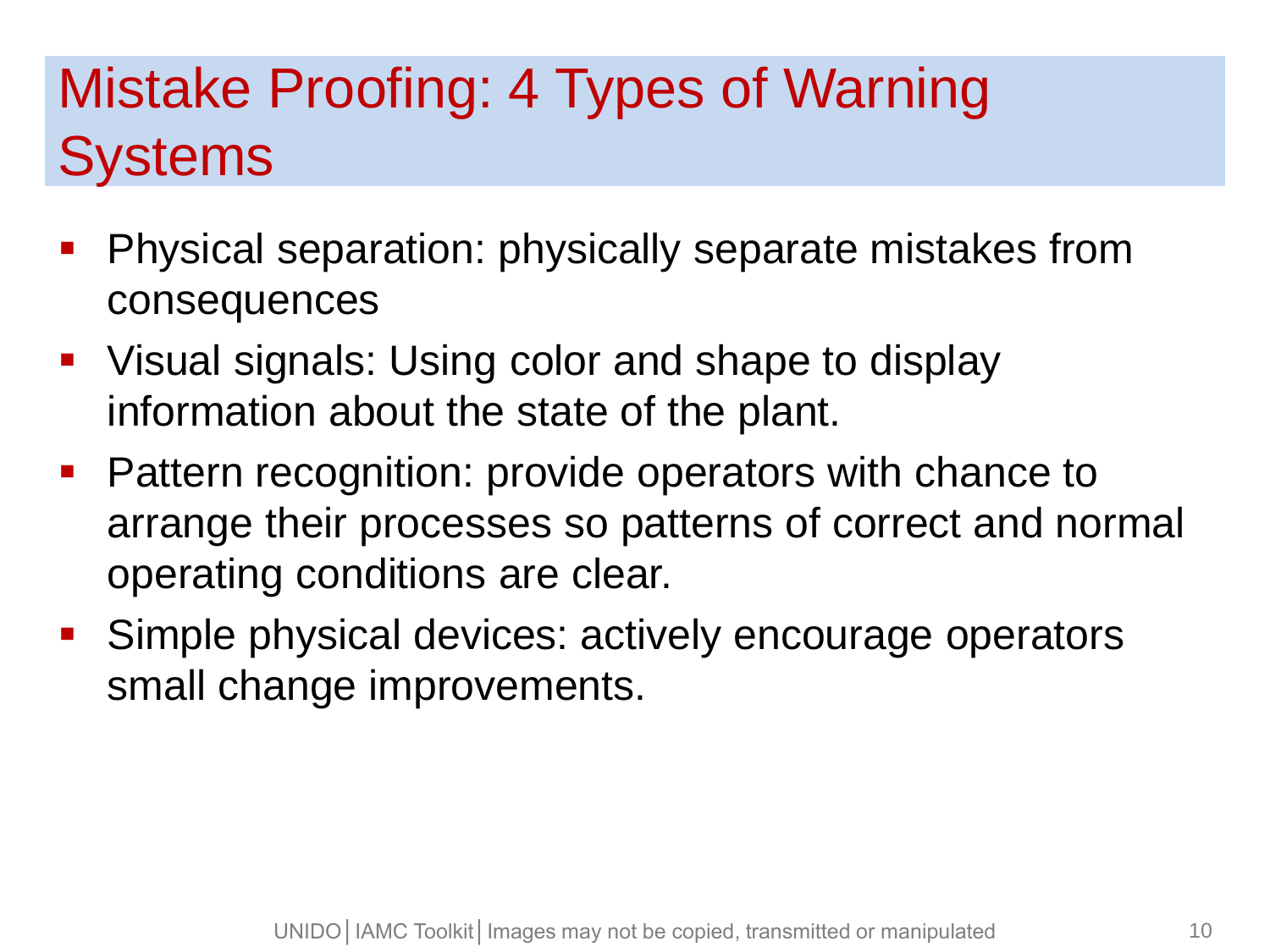## Mistake Proofing: 4 Types of Warning **Systems**

- **Physical separation: physically separate mistakes from** consequences
- Visual signals: Using color and shape to display information about the state of the plant.
- **Pattern recognition: provide operators with chance to** arrange their processes so patterns of correct and normal operating conditions are clear.
- **Simple physical devices: actively encourage operators** small change improvements.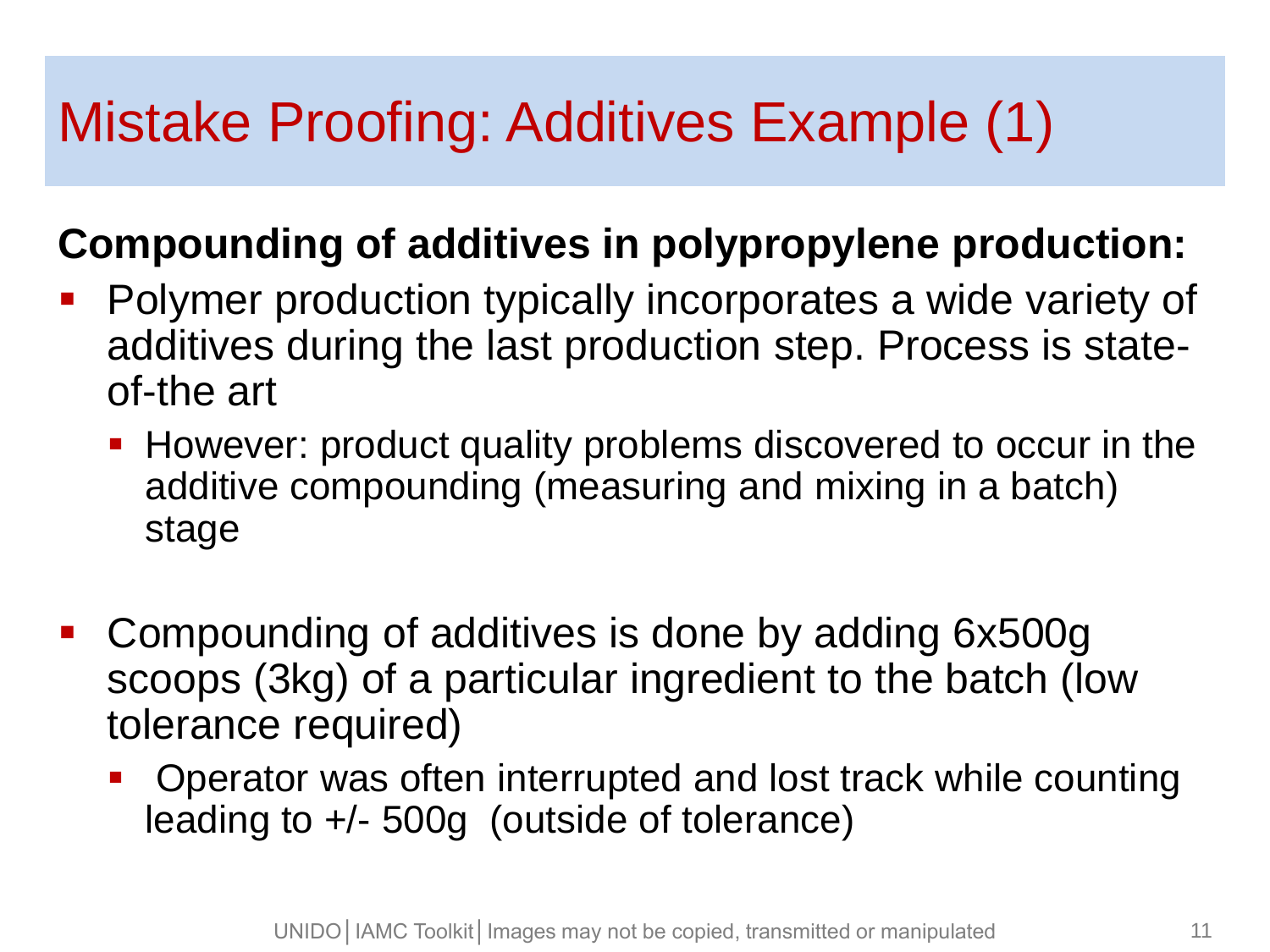### Mistake Proofing: Additives Example (1)

#### **Compounding of additives in polypropylene production:**

- **Polymer production typically incorporates a wide variety of** additives during the last production step. Process is stateof-the art
	- **However: product quality problems discovered to occur in the** additive compounding (measuring and mixing in a batch) stage
- Compounding of additives is done by adding 6x500g scoops (3kg) of a particular ingredient to the batch (low tolerance required)
	- Operator was often interrupted and lost track while counting leading to +/- 500g (outside of tolerance)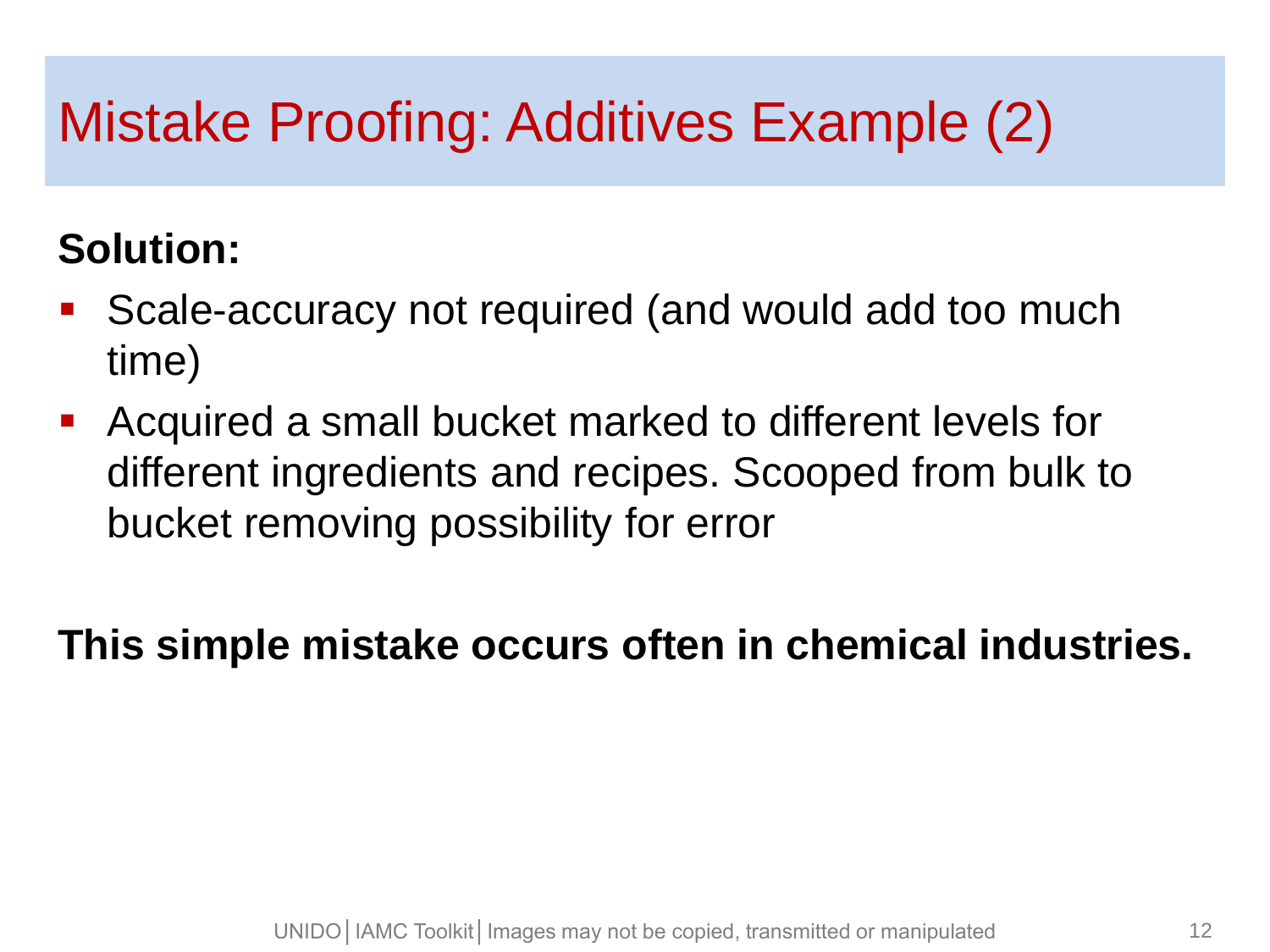### Mistake Proofing: Additives Example (2)

#### **Solution:**

- Scale-accuracy not required (and would add too much time)
- Acquired a small bucket marked to different levels for different ingredients and recipes. Scooped from bulk to bucket removing possibility for error

**This simple mistake occurs often in chemical industries.**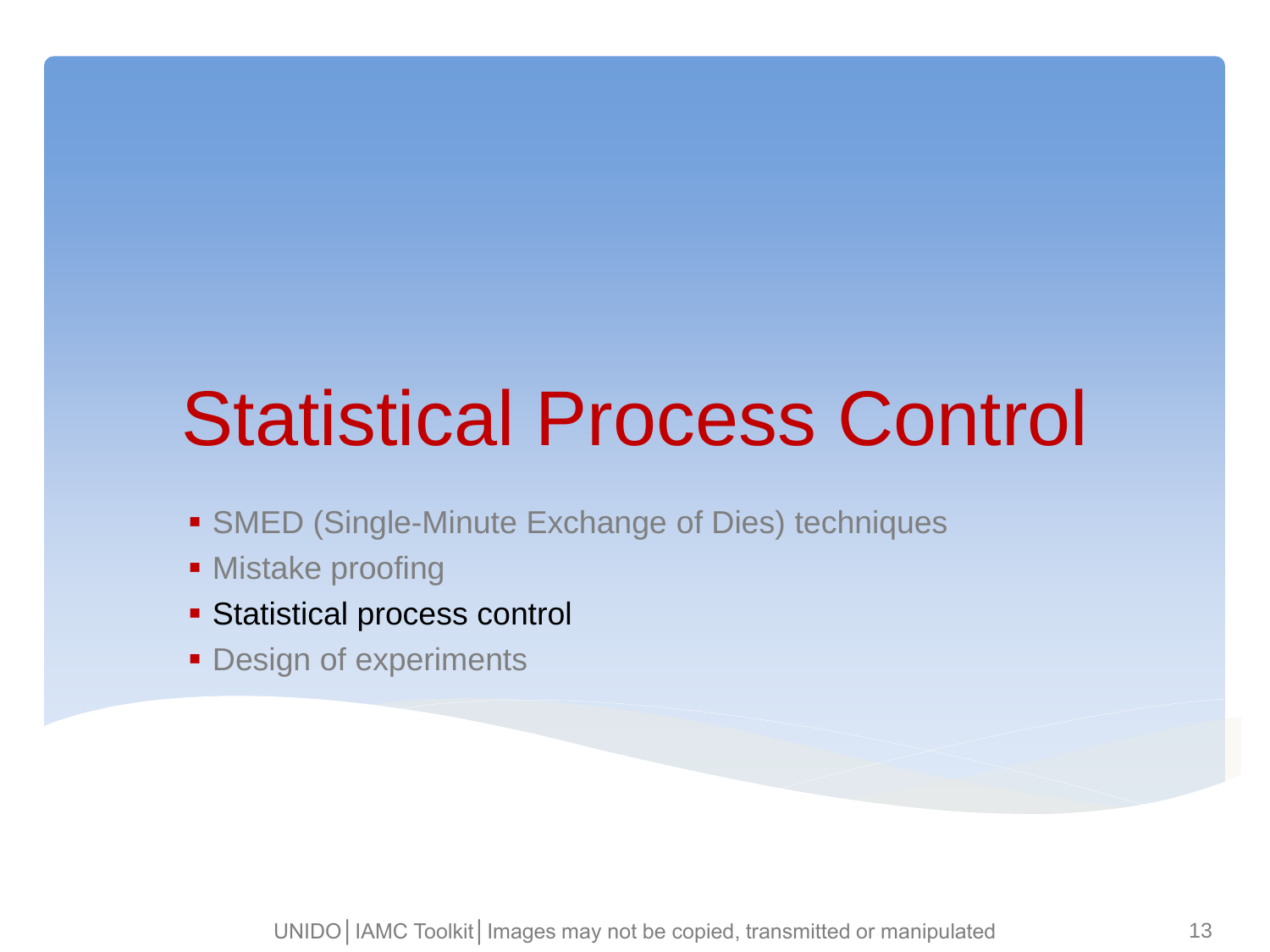# Statistical Process Control

- **SMED (Single-Minute Exchange of Dies) techniques**
- **Mistake proofing**
- Statistical process control
- **Design of experiments**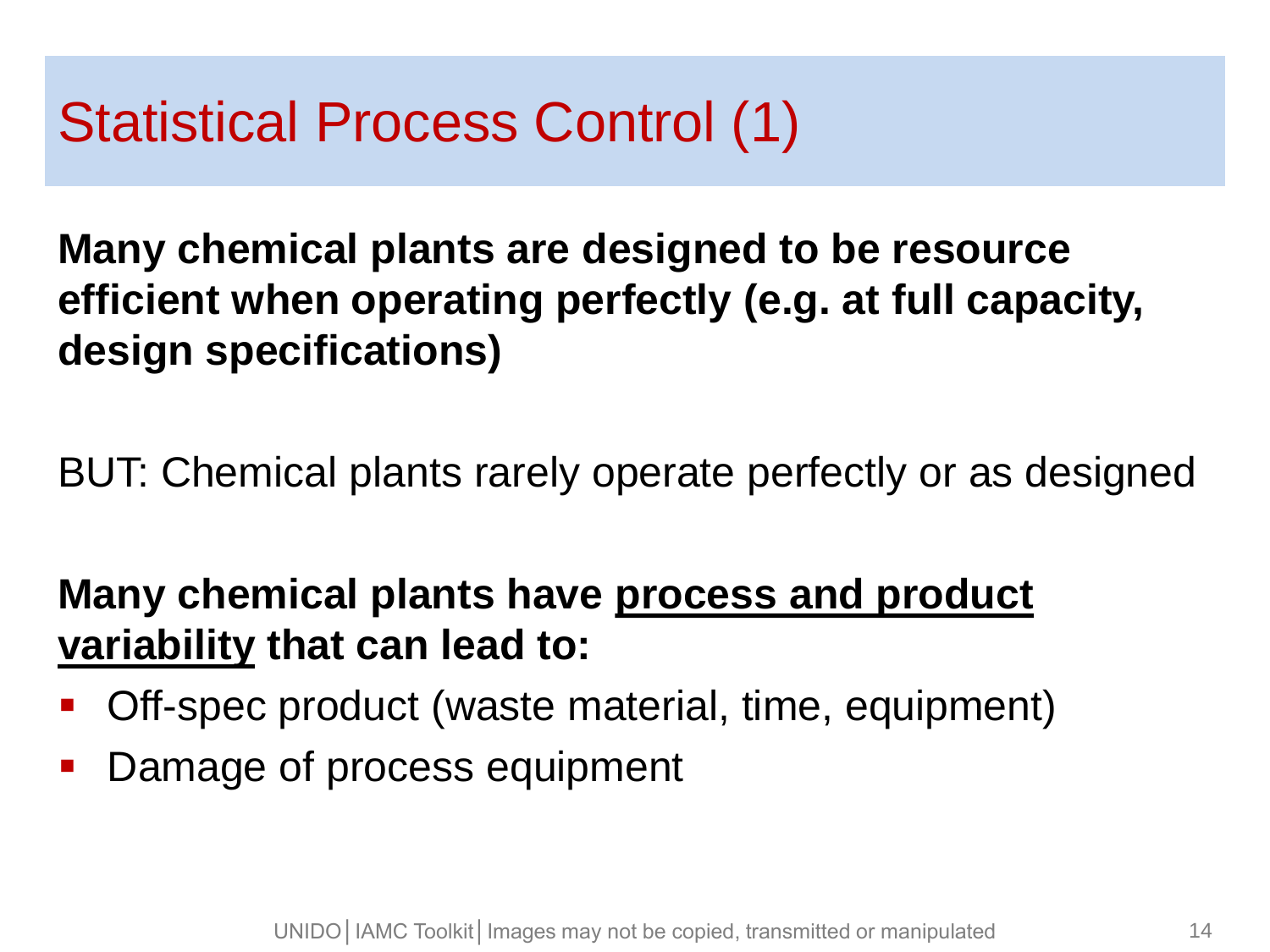### Statistical Process Control (1)

**Many chemical plants are designed to be resource efficient when operating perfectly (e.g. at full capacity, design specifications)**

BUT: Chemical plants rarely operate perfectly or as designed

#### **Many chemical plants have process and product variability that can lead to:**

- Off-spec product (waste material, time, equipment)
- **Damage of process equipment**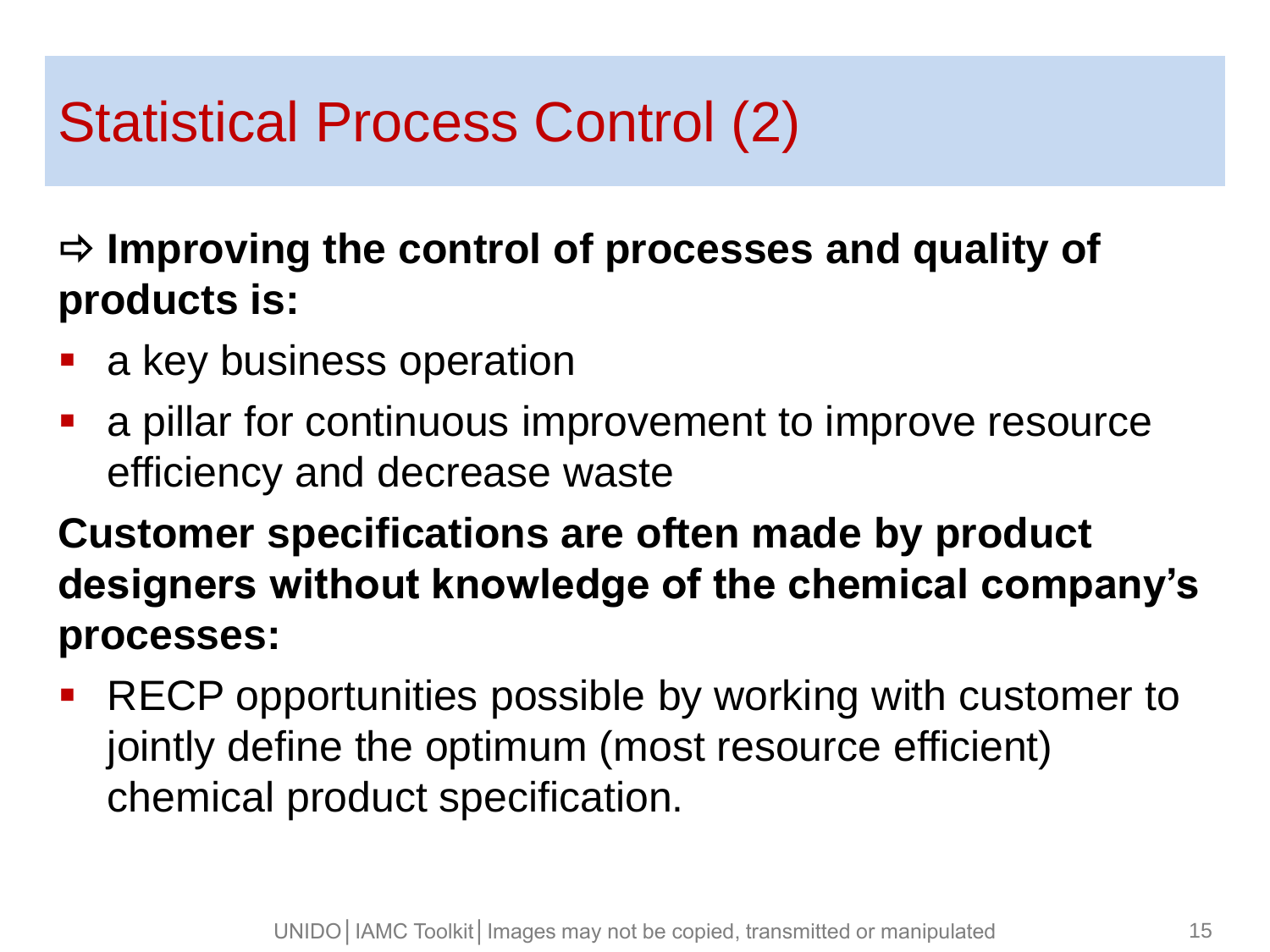## Statistical Process Control (2)

 **Improving the control of processes and quality of products is:**

- a key business operation
- a pillar for continuous improvement to improve resource efficiency and decrease waste

**Customer specifications are often made by product designers without knowledge of the chemical company's processes:**

**RECP opportunities possible by working with customer to** jointly define the optimum (most resource efficient) chemical product specification.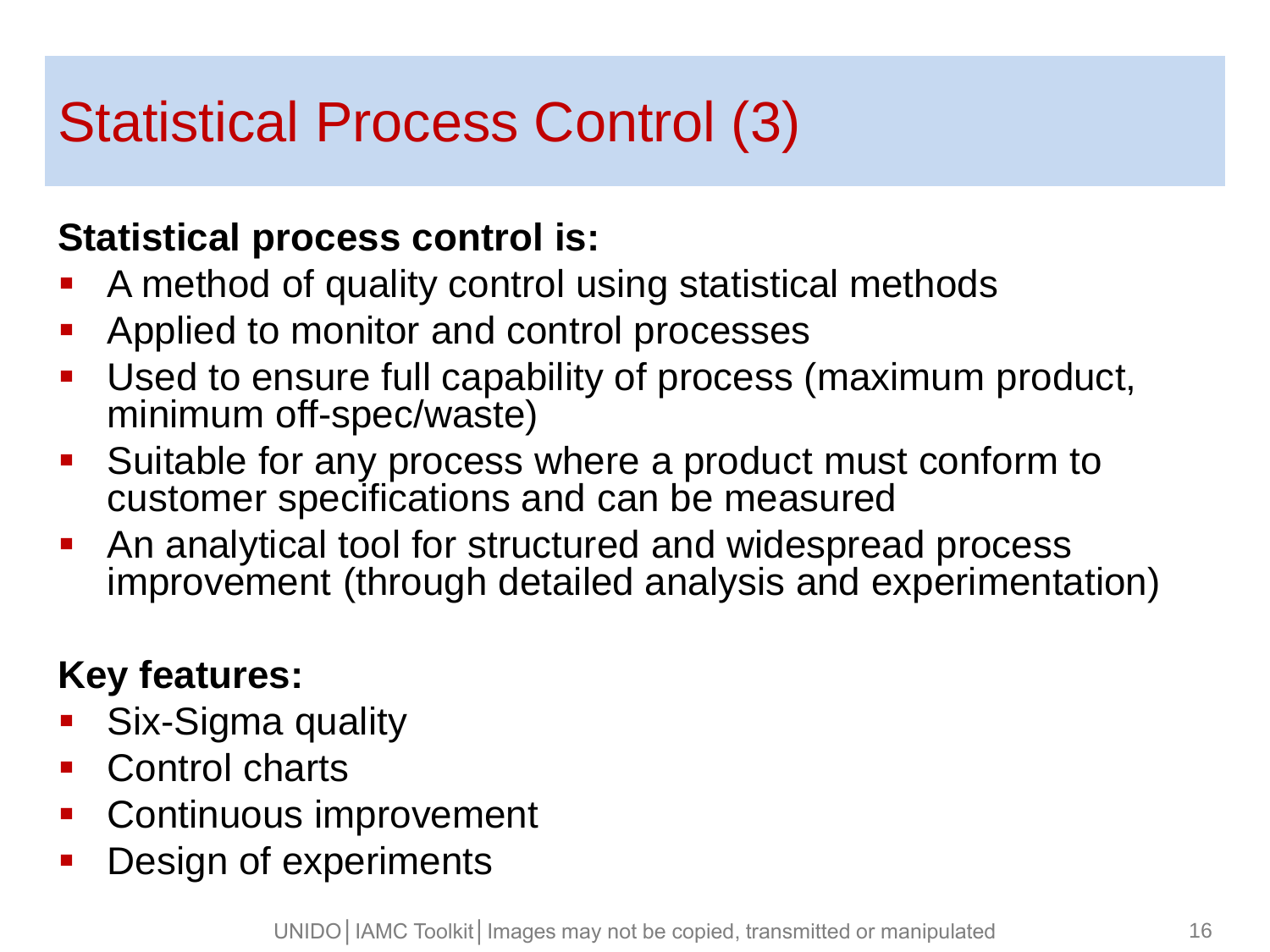## Statistical Process Control (3)

#### **Statistical process control is:**

- A method of quality control using statistical methods
- Applied to monitor and control processes
- Used to ensure full capability of process (maximum product, minimum off-spec/waste)
- **Suitable for any process where a product must conform to** customer specifications and can be measured
- An analytical tool for structured and widespread process improvement (through detailed analysis and experimentation)

#### **Key features:**

- Six-Sigma quality
- Control charts
- **Continuous improvement**
- Design of experiments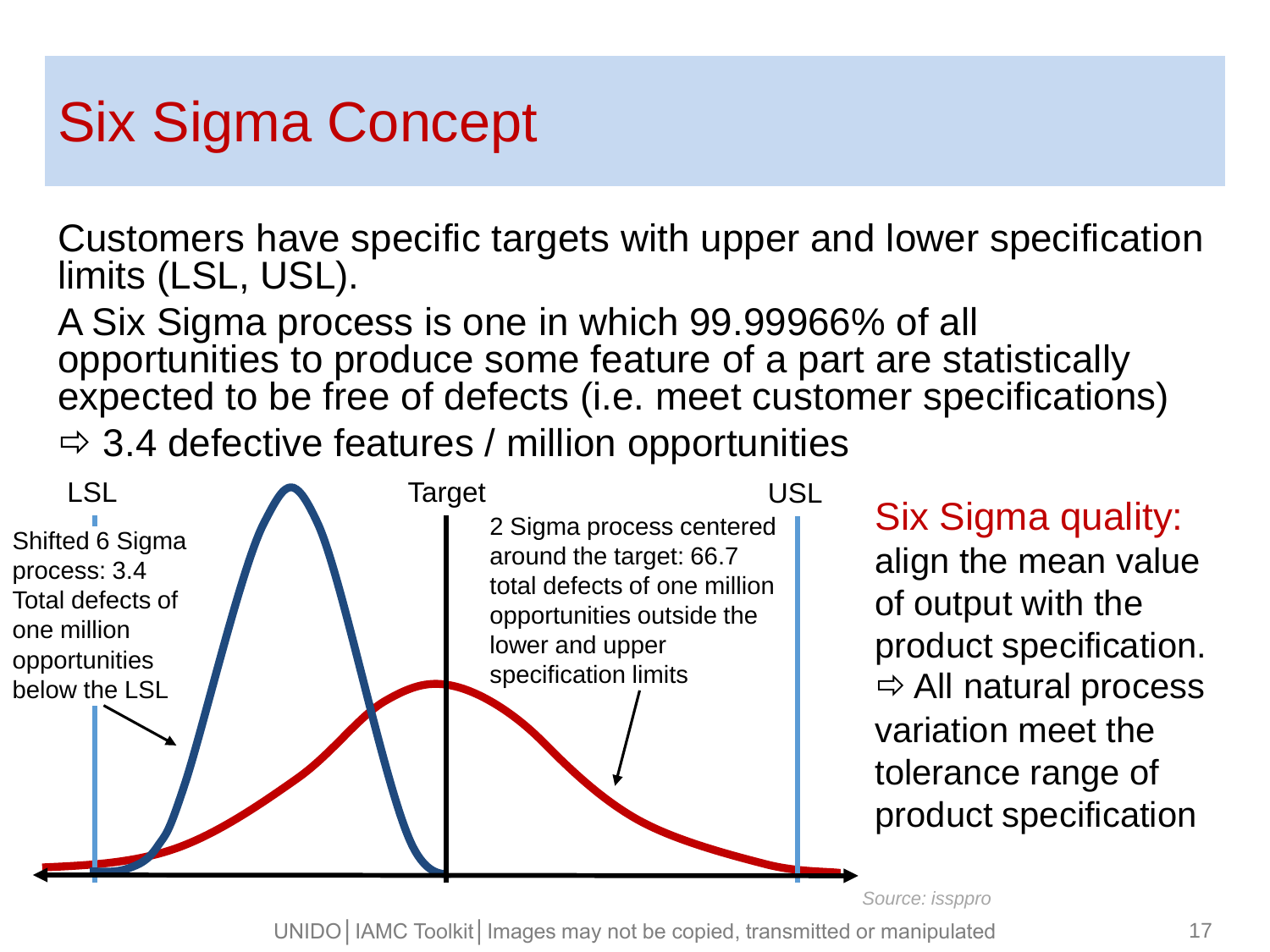### Six Sigma Concept

Customers have specific targets with upper and lower specification limits (LSL, USL).

A Six Sigma process is one in which 99.99966% of all opportunities to produce some feature of a part are statistically expected to be free of defects (i.e. meet customer specifications)  $\Rightarrow$  3.4 defective features / million opportunities



*Source: issppro*

UNIDO│IAMC Toolkit│Images may not be copied, transmitted or manipulated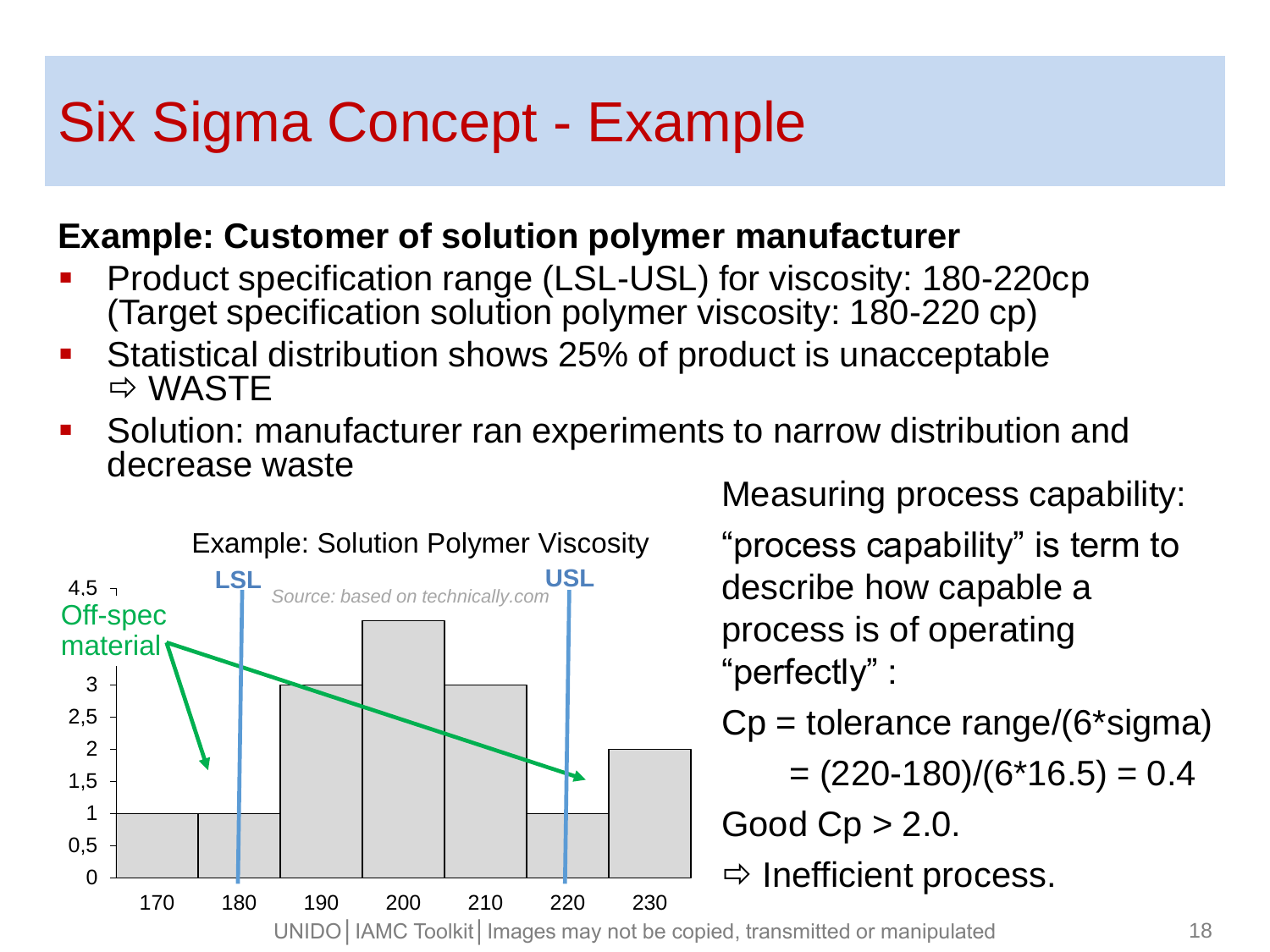#### Six Sigma Concept - Example

#### **Example: Customer of solution polymer manufacturer**

- Product specification range (LSL-USL) for viscosity: 180-220cp (Target specification solution polymer viscosity: 180-220 cp)
- Statistical distribution shows 25% of product is unacceptable  $\Rightarrow$  WASTE
- Solution: manufacturer ran experiments to narrow distribution and decrease waste



Measuring process capability:

"process capability" is term to describe how capable a process is of operating "perfectly" :

Cp = tolerance range/(6\*sigma)

 $= (220-180)/(6*16.5) = 0.4$ 

Good  $Cp > 2.0$ .

 $\Rightarrow$  Inefficient process.

UNIDO│IAMC Toolkit│Images may not be copied, transmitted or manipulated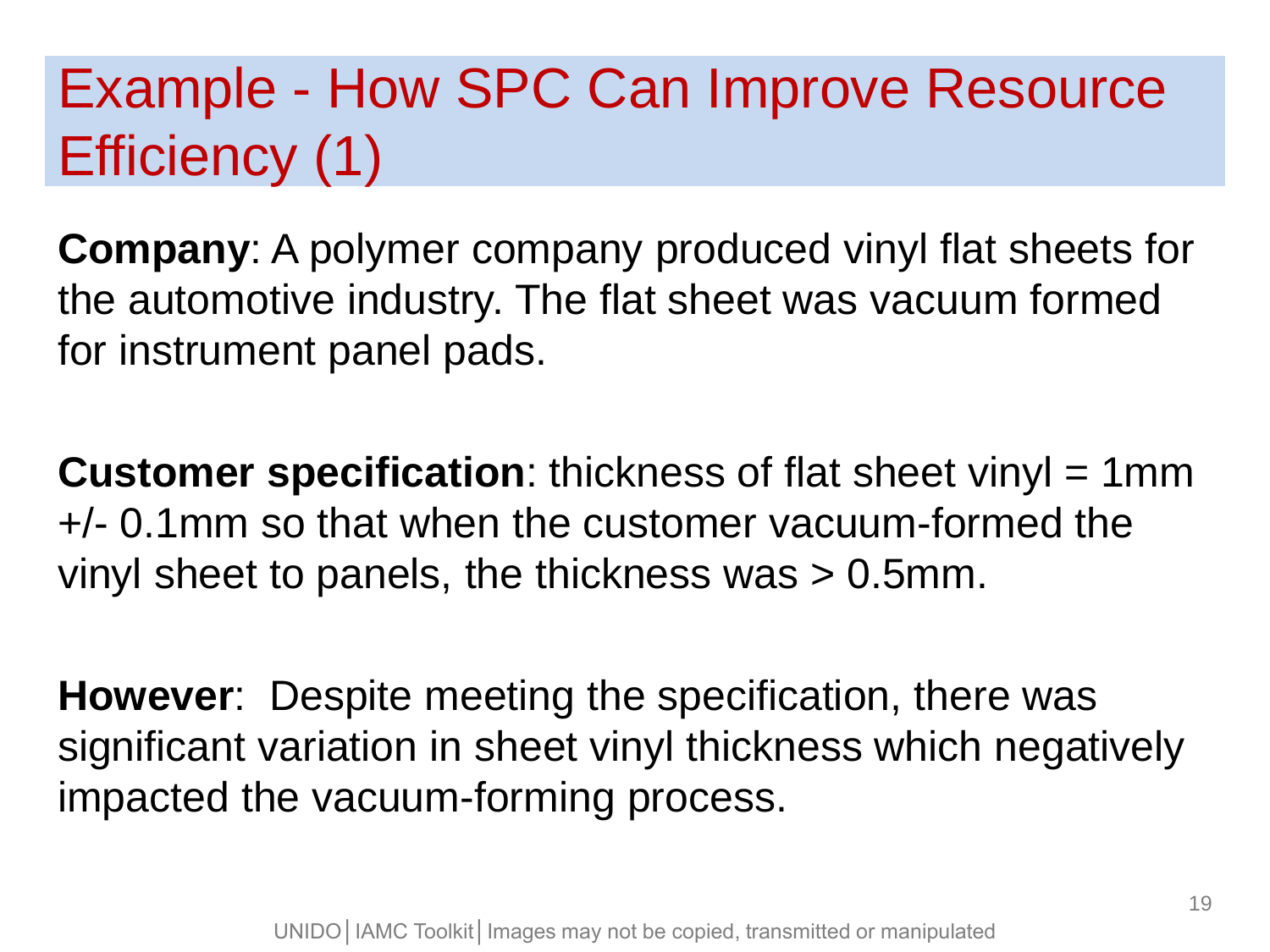## Example - How SPC Can Improve Resource Efficiency (1)

**Company**: A polymer company produced vinyl flat sheets for the automotive industry. The flat sheet was vacuum formed for instrument panel pads.

**Customer specification**: thickness of flat sheet vinyl = 1mm +/- 0.1mm so that when the customer vacuum-formed the vinyl sheet to panels, the thickness was > 0.5mm.

**However**: Despite meeting the specification, there was significant variation in sheet vinyl thickness which negatively impacted the vacuum-forming process.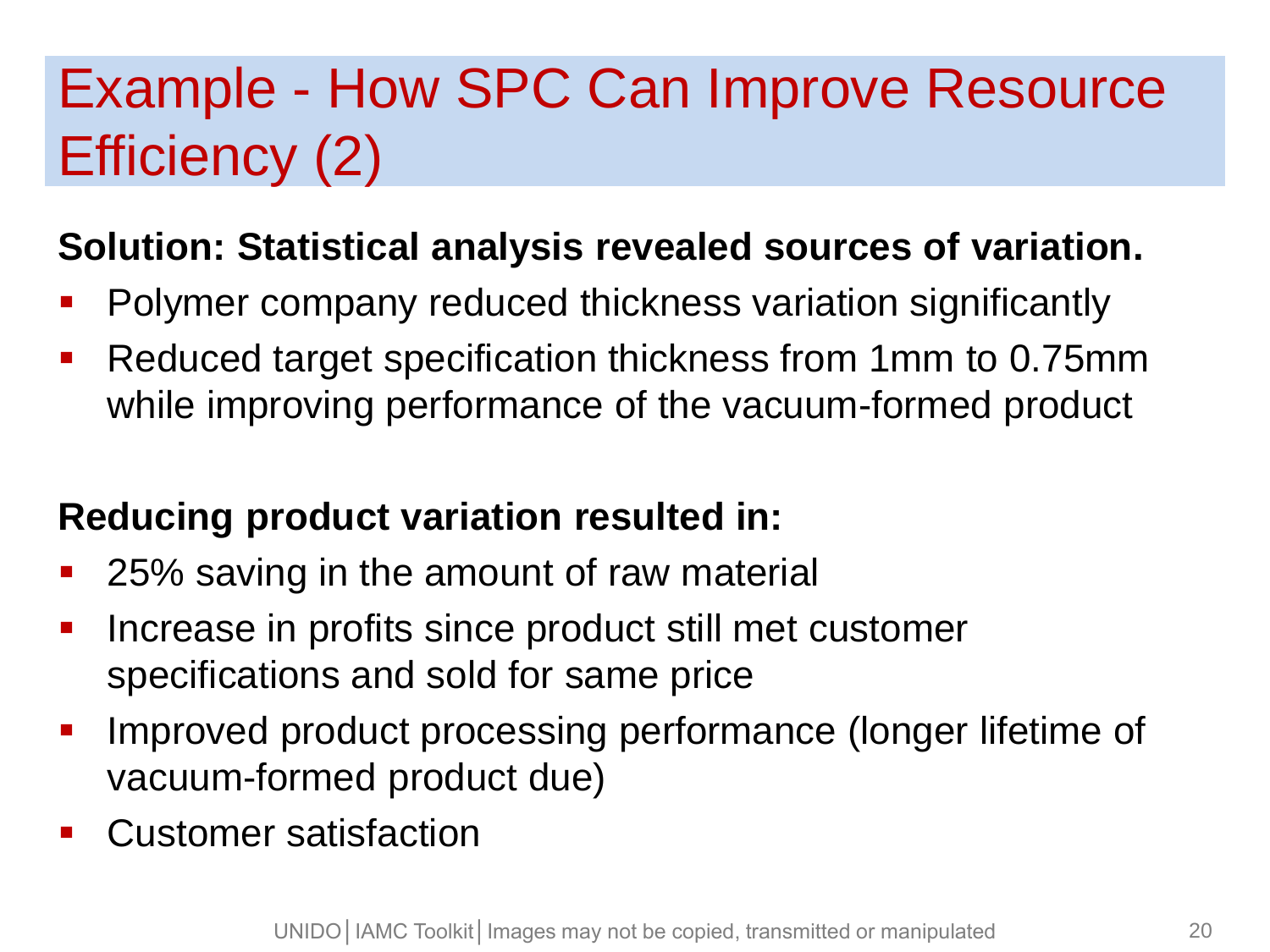## Example - How SPC Can Improve Resource Efficiency (2)

#### **Solution: Statistical analysis revealed sources of variation.**

- **Polymer company reduced thickness variation significantly**
- **Reduced target specification thickness from 1mm to 0.75mm** while improving performance of the vacuum-formed product

#### **Reducing product variation resulted in:**

- 25% saving in the amount of raw material
- **Increase in profits since product still met customer** specifications and sold for same price
- **IMPROVED product processing performance (longer lifetime of** vacuum-formed product due)
- Customer satisfaction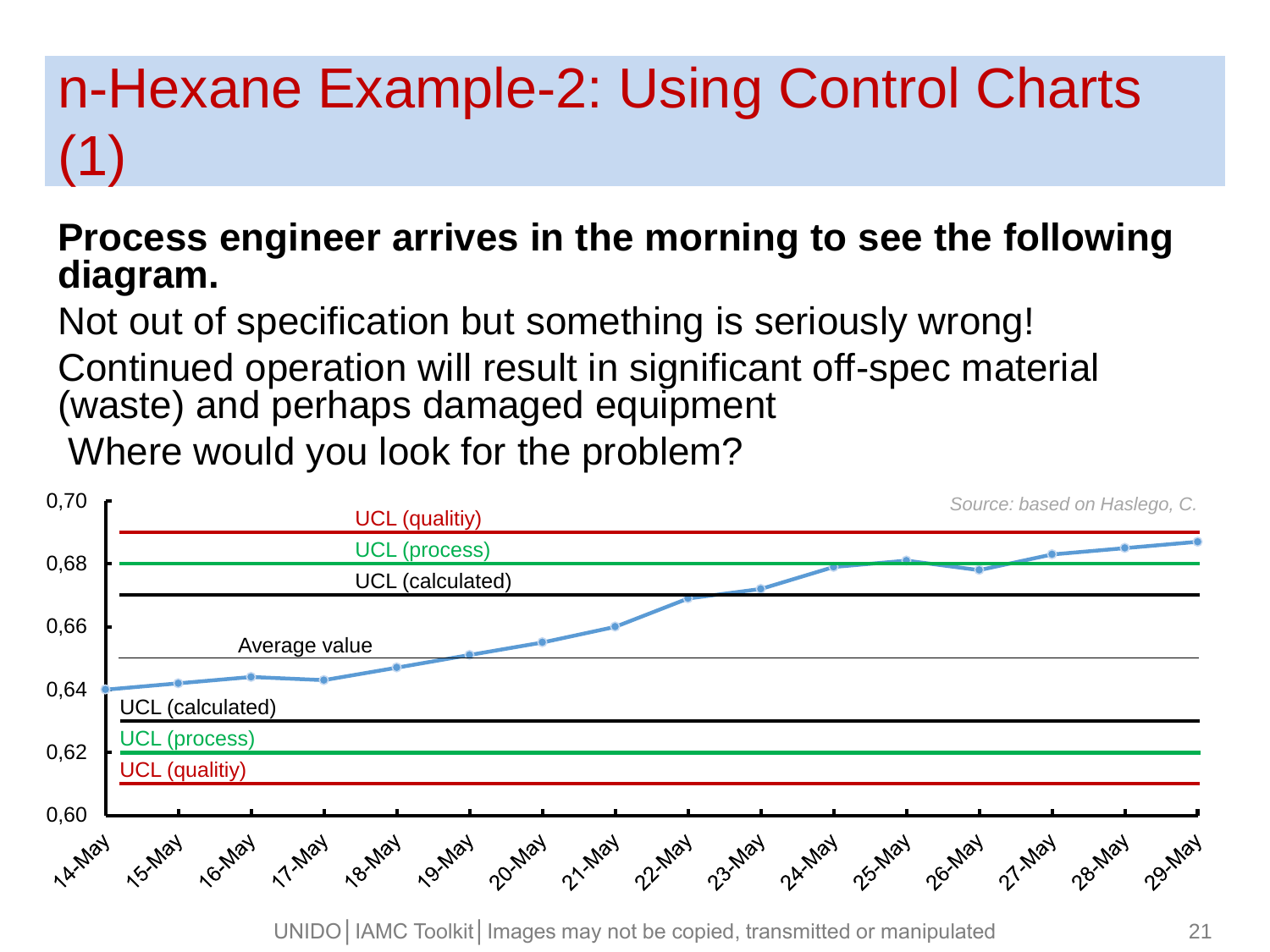## n-Hexane Example-2: Using Control Charts (1)

#### **Process engineer arrives in the morning to see the following diagram.**

Not out of specification but something is seriously wrong! Continued operation will result in significant off-spec material (waste) and perhaps damaged equipment Where would you look for the problem?



UNIDO | IAMC Toolkit | Images may not be copied, transmitted or manipulated 21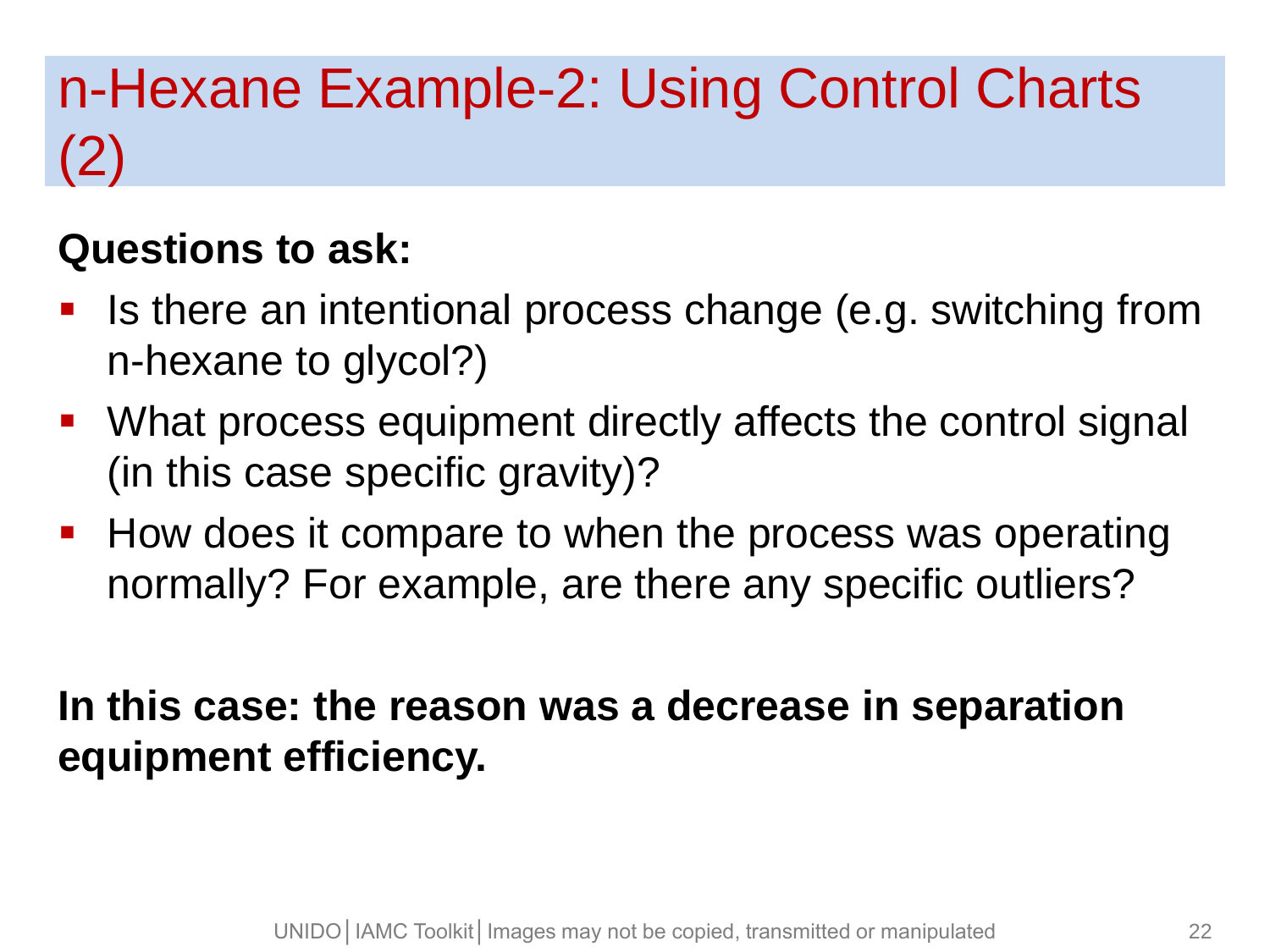## n-Hexane Example-2: Using Control Charts (2)

#### **Questions to ask:**

- **If** Is there an intentional process change (e.g. switching from n-hexane to glycol?)
- **What process equipment directly affects the control signal** (in this case specific gravity)?
- **How does it compare to when the process was operating** normally? For example, are there any specific outliers?

#### **In this case: the reason was a decrease in separation equipment efficiency.**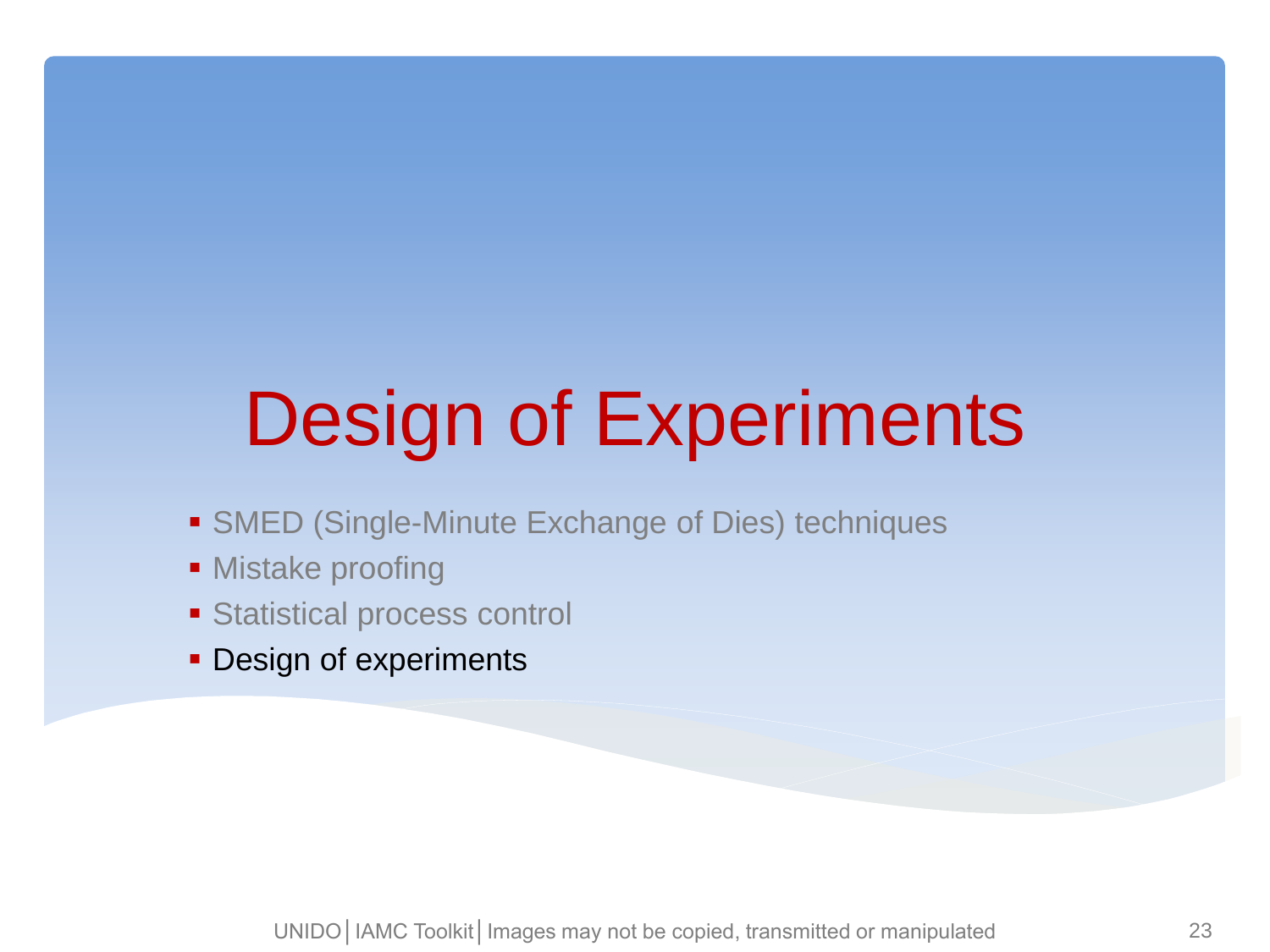# Design of Experiments

- **SMED (Single-Minute Exchange of Dies) techniques**
- **Mistake proofing**
- Statistical process control
- **Design of experiments**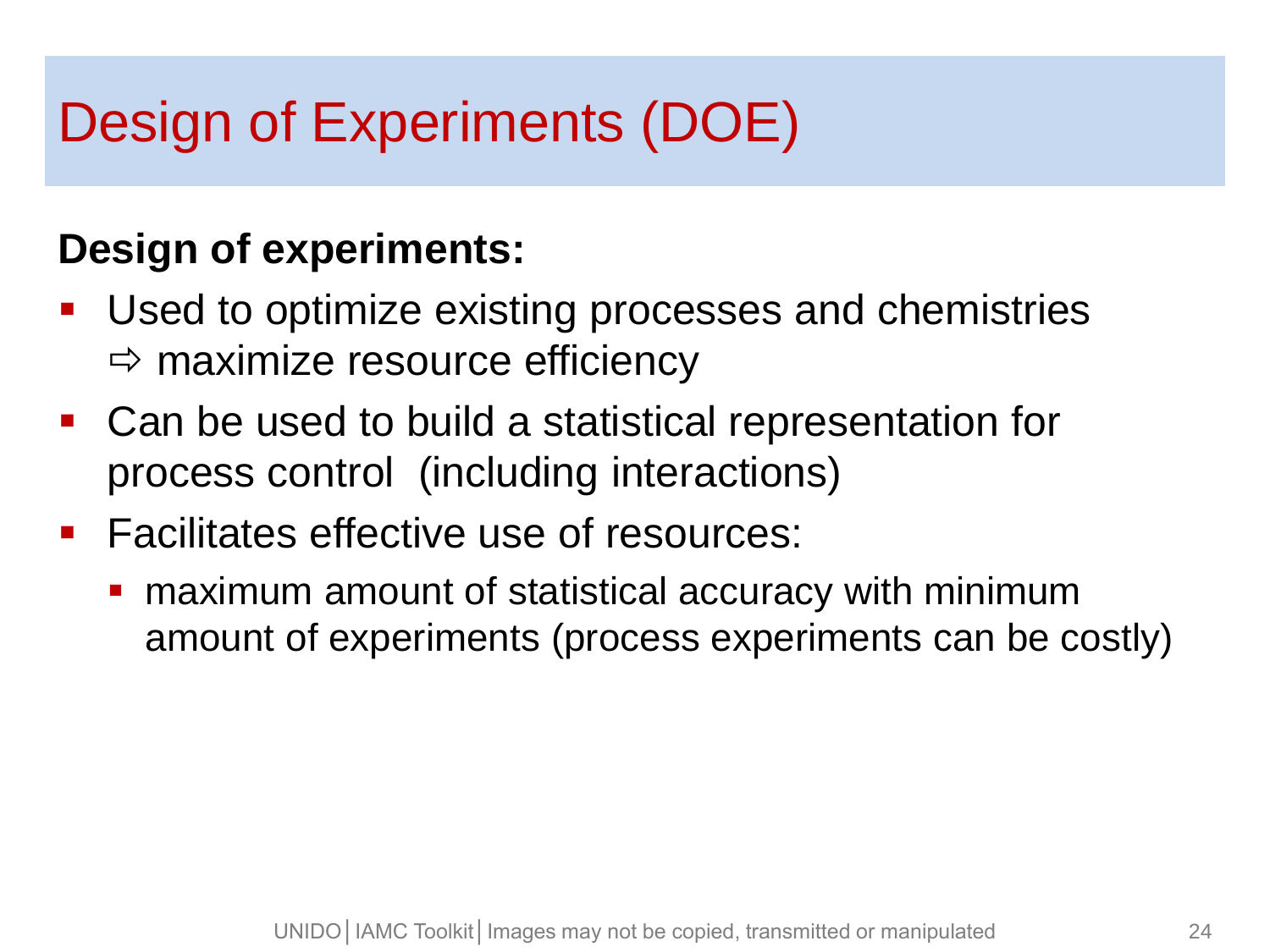### Design of Experiments (DOE)

#### **Design of experiments:**

- Used to optimize existing processes and chemistries  $\Rightarrow$  maximize resource efficiency
- Can be used to build a statistical representation for process control (including interactions)
- **Facilitates effective use of resources:** 
	- **n** maximum amount of statistical accuracy with minimum amount of experiments (process experiments can be costly)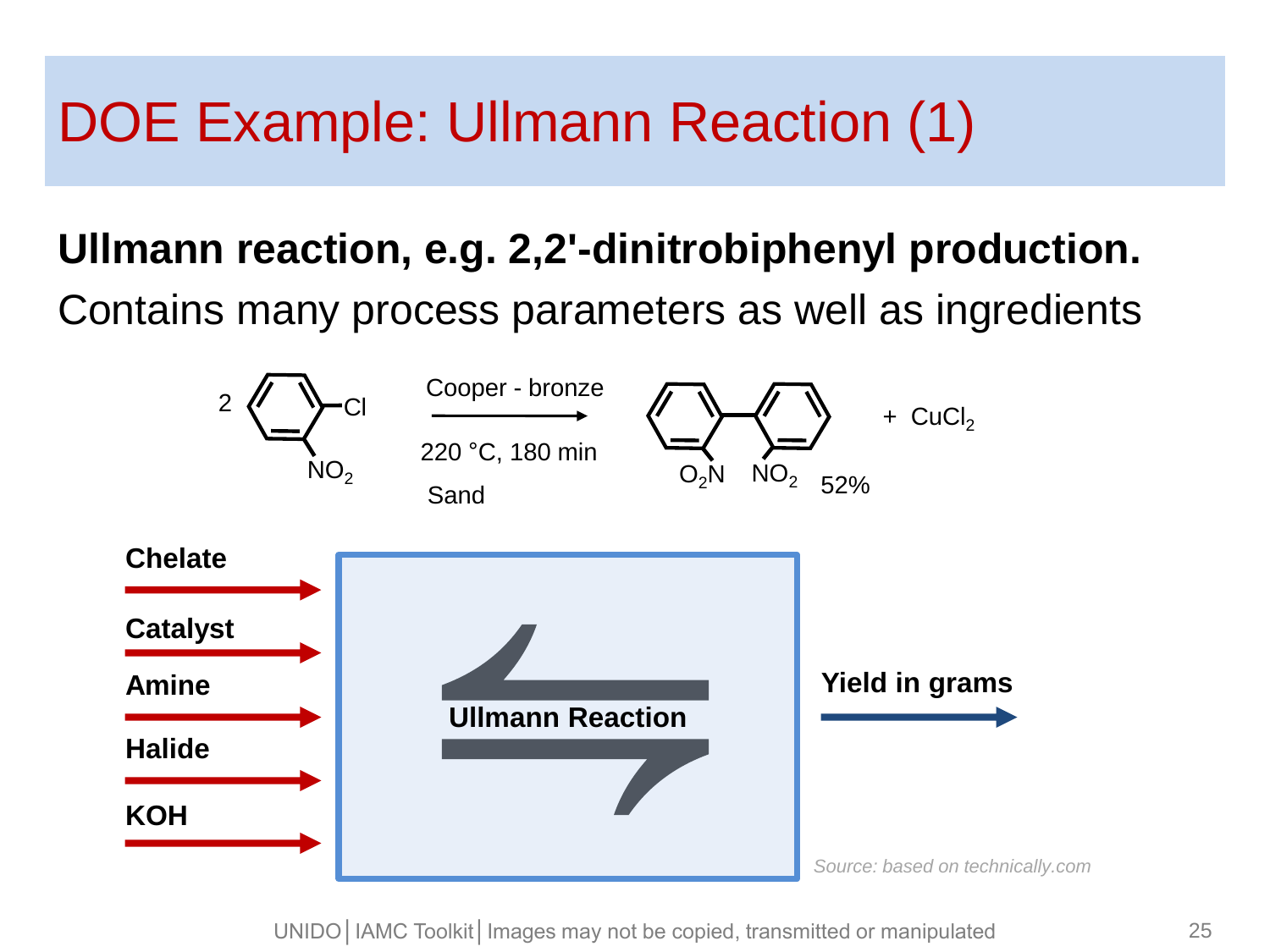### DOE Example: Ullmann Reaction (1)

#### **Ullmann reaction, e.g. 2,2'-dinitrobiphenyl production.**

Contains many process parameters as well as ingredients



UNIDO | IAMC Toolkit | Images may not be copied, transmitted or manipulated 25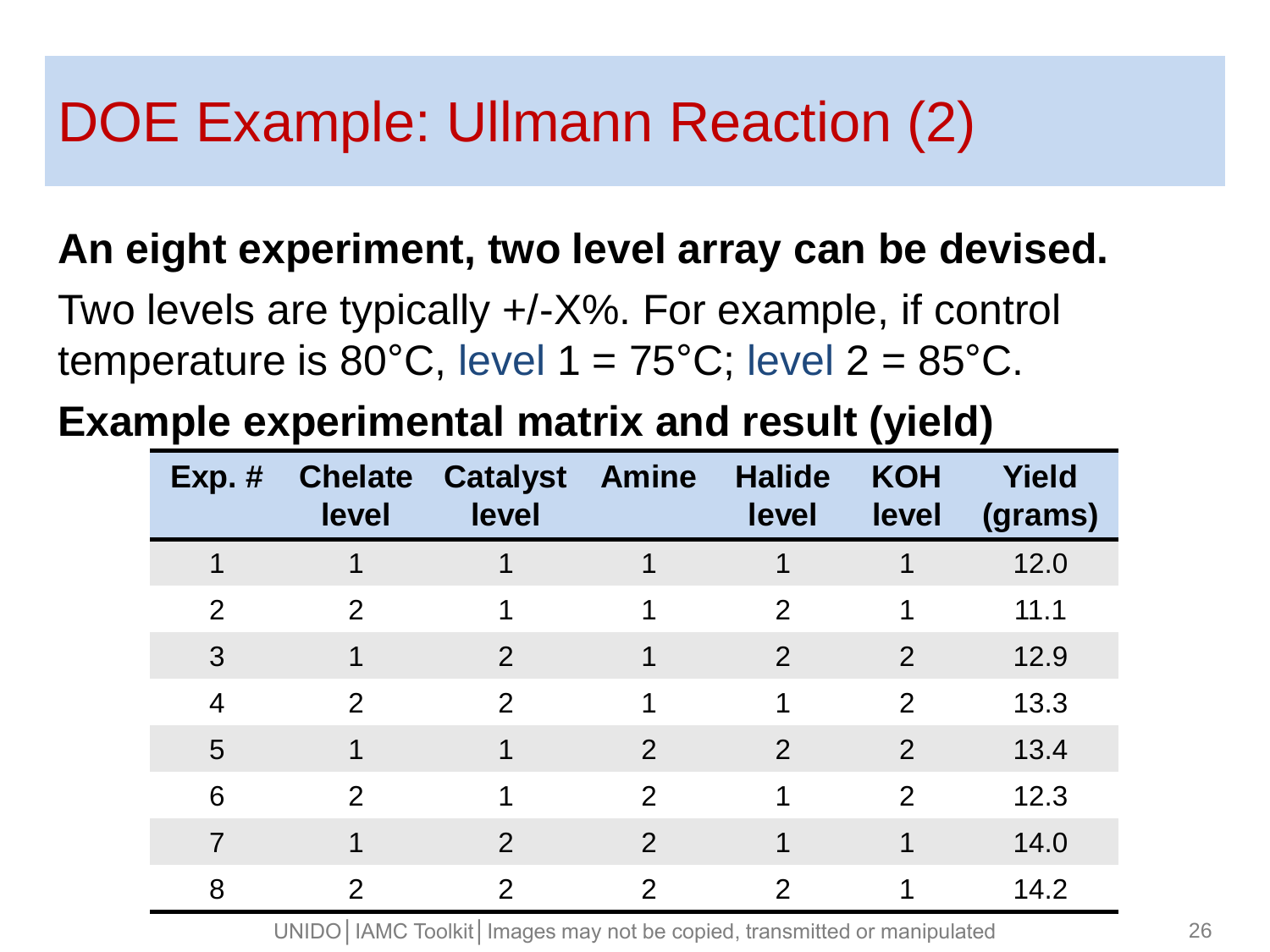### DOE Example: Ullmann Reaction (2)

#### **An eight experiment, two level array can be devised.**

Two levels are typically +/-X%. For example, if control temperature is  $80^{\circ}$ C, level  $1 = 75^{\circ}$ C; level  $2 = 85^{\circ}$ C.

#### **Example experimental matrix and result (yield)**

| $Exp.$ #       | <b>Chelate</b><br>level | <b>Catalyst Amine</b><br>level |                | <b>Halide</b><br>level | <b>KOH</b><br>level | <b>Yield</b><br>(grams) |
|----------------|-------------------------|--------------------------------|----------------|------------------------|---------------------|-------------------------|
|                |                         |                                |                |                        |                     | 12.0                    |
| $\overline{2}$ | 2                       | 1                              | 1              | 2                      | 1                   | 11.1                    |
| 3              |                         | 2                              | 1              | 2                      | 2                   | 12.9                    |
| 4              | 2                       | $\mathcal{P}$                  | 1              | 1                      | $\overline{2}$      | 13.3                    |
| 5              |                         | 1                              | 2              | 2                      | 2                   | 13.4                    |
| 6              | 2                       | 1                              | 2              | 1                      | $\overline{2}$      | 12.3                    |
| 7              |                         | 2                              | 2              |                        |                     | 14.0                    |
| 8              | 2                       | 2                              | $\overline{2}$ | $\overline{2}$         |                     | 14.2                    |

UNIDO | IAMC Toolkit | Images may not be copied, transmitted or manipulated 26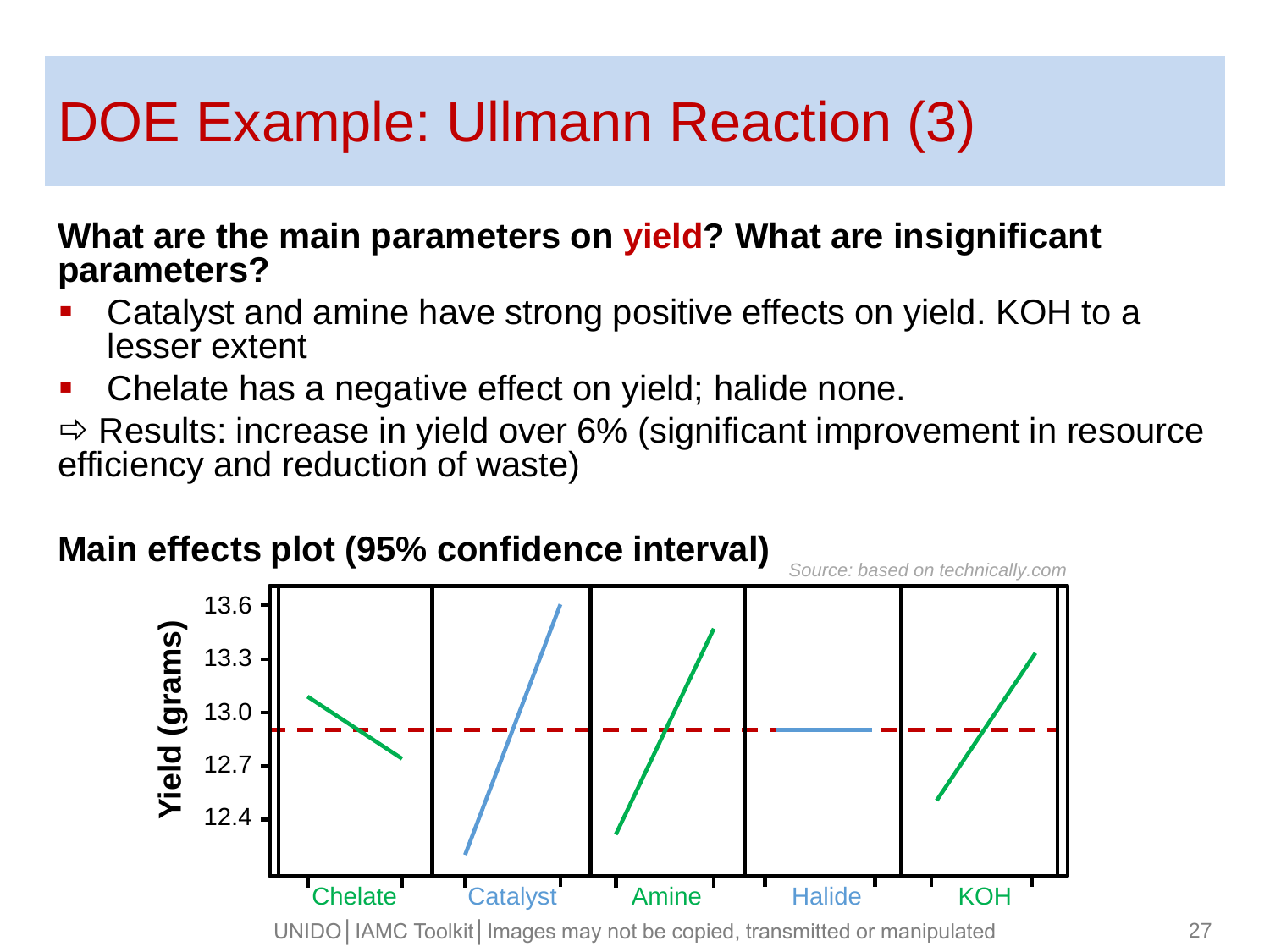## DOE Example: Ullmann Reaction (3)

#### **What are the main parameters on yield? What are insignificant parameters?**

- Catalyst and amine have strong positive effects on yield. KOH to a lesser extent
- **Chelate has a negative effect on yield; halide none.**

 $\Rightarrow$  Results: increase in yield over 6% (significant improvement in resource efficiency and reduction of waste)

#### **Main effects plot (95% confidence interval)**

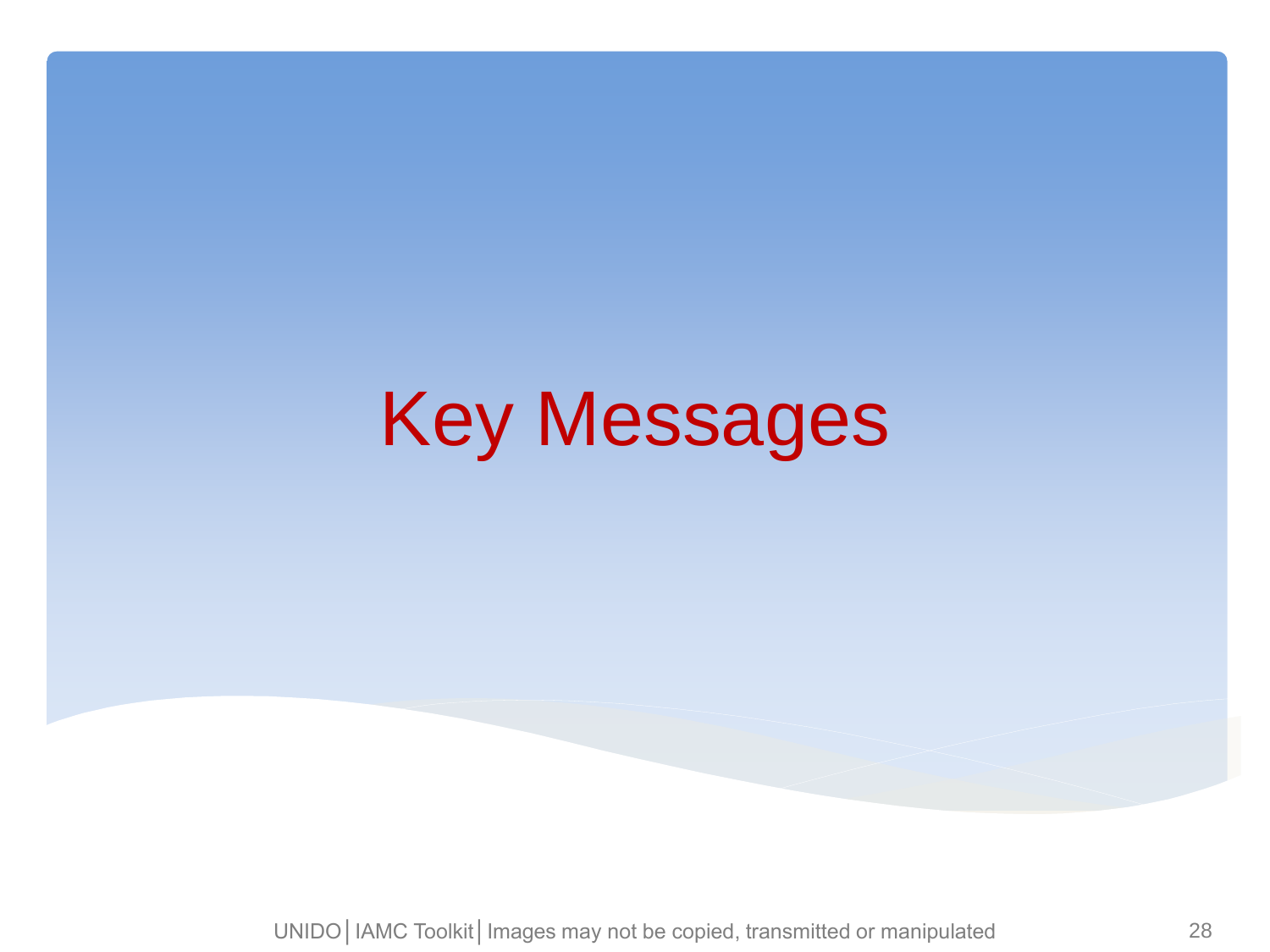# Key Messages

UNIDO | IAMC Toolkit | Images may not be copied, transmitted or manipulated 28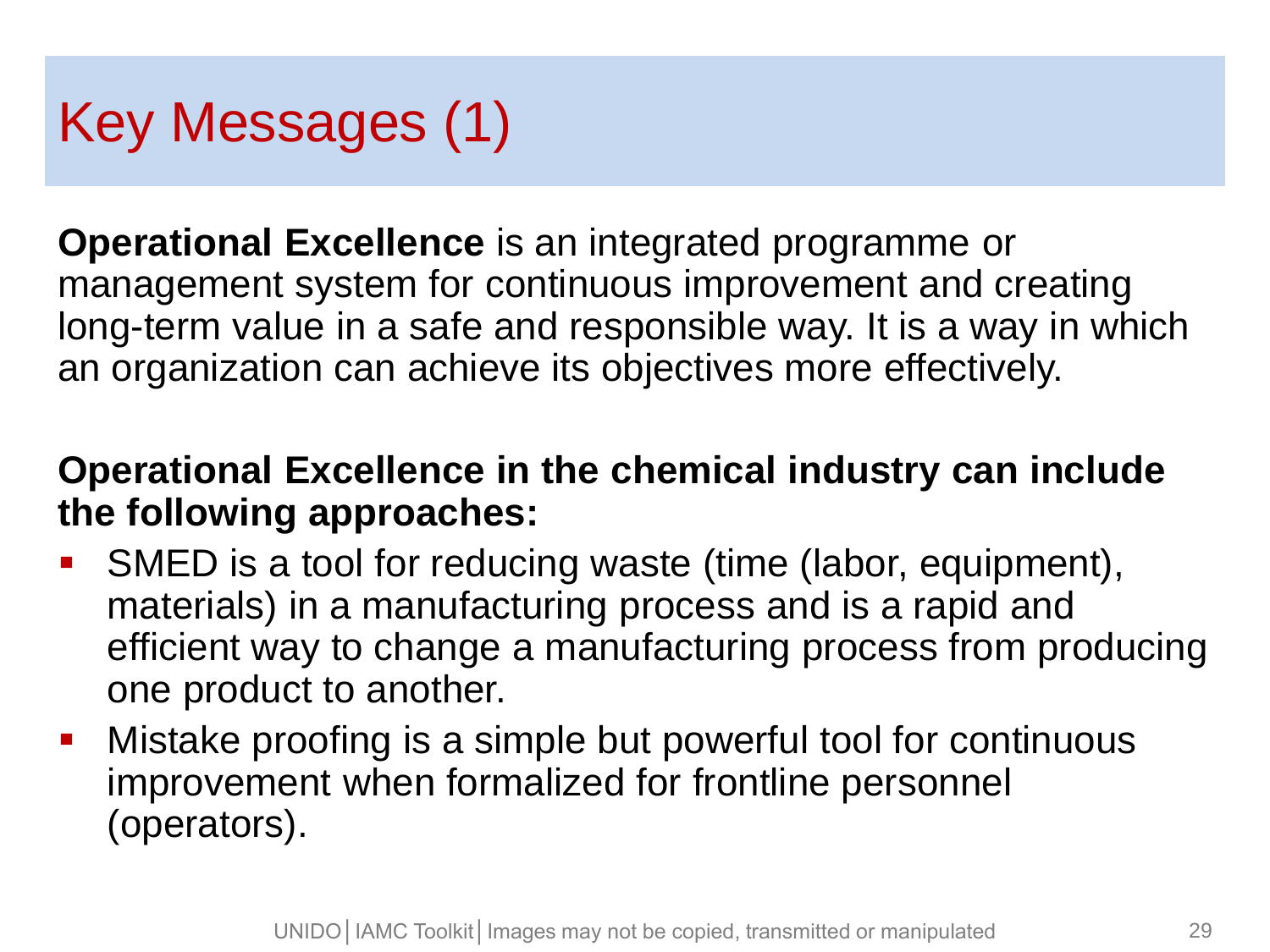### Key Messages (1)

**Operational Excellence** is an integrated programme or management system for continuous improvement and creating long-term value in a safe and responsible way. It is a way in which an organization can achieve its objectives more effectively.

#### **Operational Excellence in the chemical industry can include the following approaches:**

- SMED is a tool for reducing waste (time (labor, equipment), materials) in a manufacturing process and is a rapid and efficient way to change a manufacturing process from producing one product to another.
- Mistake proofing is a simple but powerful tool for continuous improvement when formalized for frontline personnel (operators).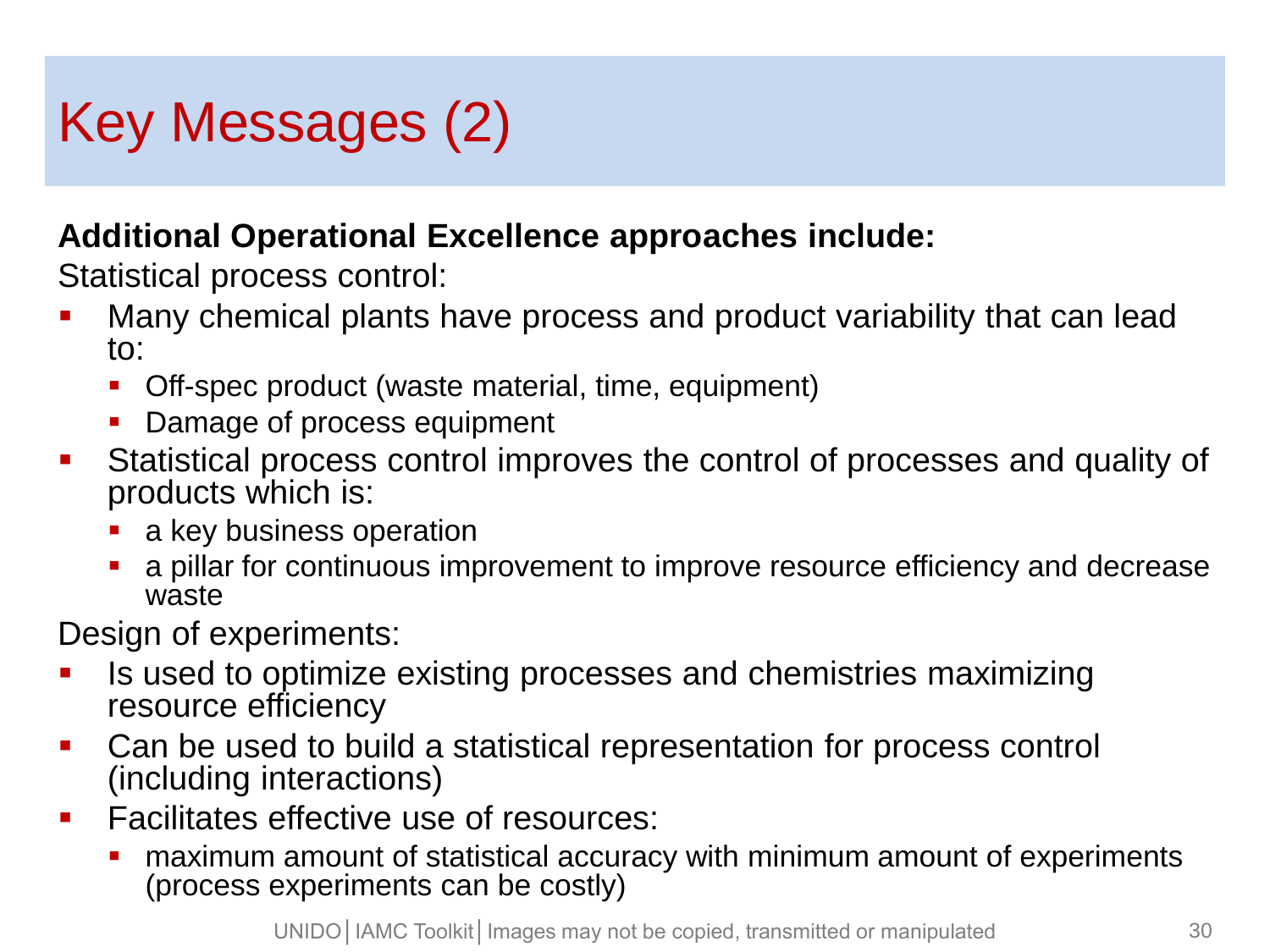## Key Messages (2)

#### **Additional Operational Excellence approaches include:**

Statistical process control:

- Many chemical plants have process and product variability that can lead to:
	- Off-spec product (waste material, time, equipment)
	- Damage of process equipment
- Statistical process control improves the control of processes and quality of products which is:
	- a key business operation
	- a pillar for continuous improvement to improve resource efficiency and decrease waste

Design of experiments:

- Is used to optimize existing processes and chemistries maximizing resource efficiency
- Can be used to build a statistical representation for process control (including interactions)
- **Facilitates effective use of resources:** 
	- maximum amount of statistical accuracy with minimum amount of experiments (process experiments can be costly)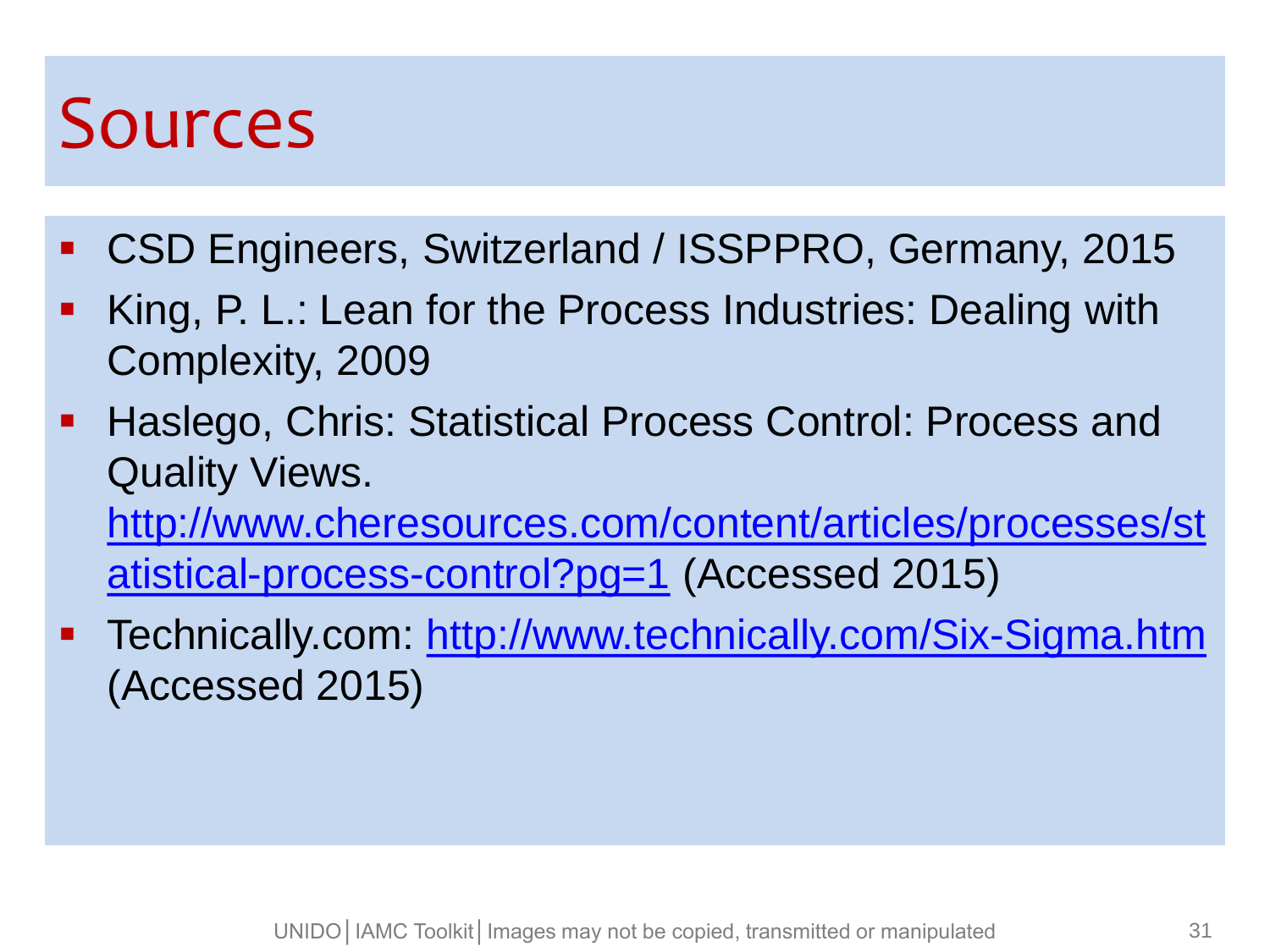## Sources

- CSD Engineers, Switzerland / ISSPPRO, Germany, 2015
- King, P. L.: Lean for the Process Industries: Dealing with Complexity, 2009
- **Haslego, Chris: Statistical Process Control: Process and** Quality Views. [http://www.cheresources.com/content/articles/processes/st](http://www.cheresources.com/content/articles/processes/statistical-process-control?pg=1) [atistical-process-control?pg=1](http://www.cheresources.com/content/articles/processes/statistical-process-control?pg=1) (Accessed 2015)
- **Technically.com: <http://www.technically.com/Six-Sigma.htm>** (Accessed 2015)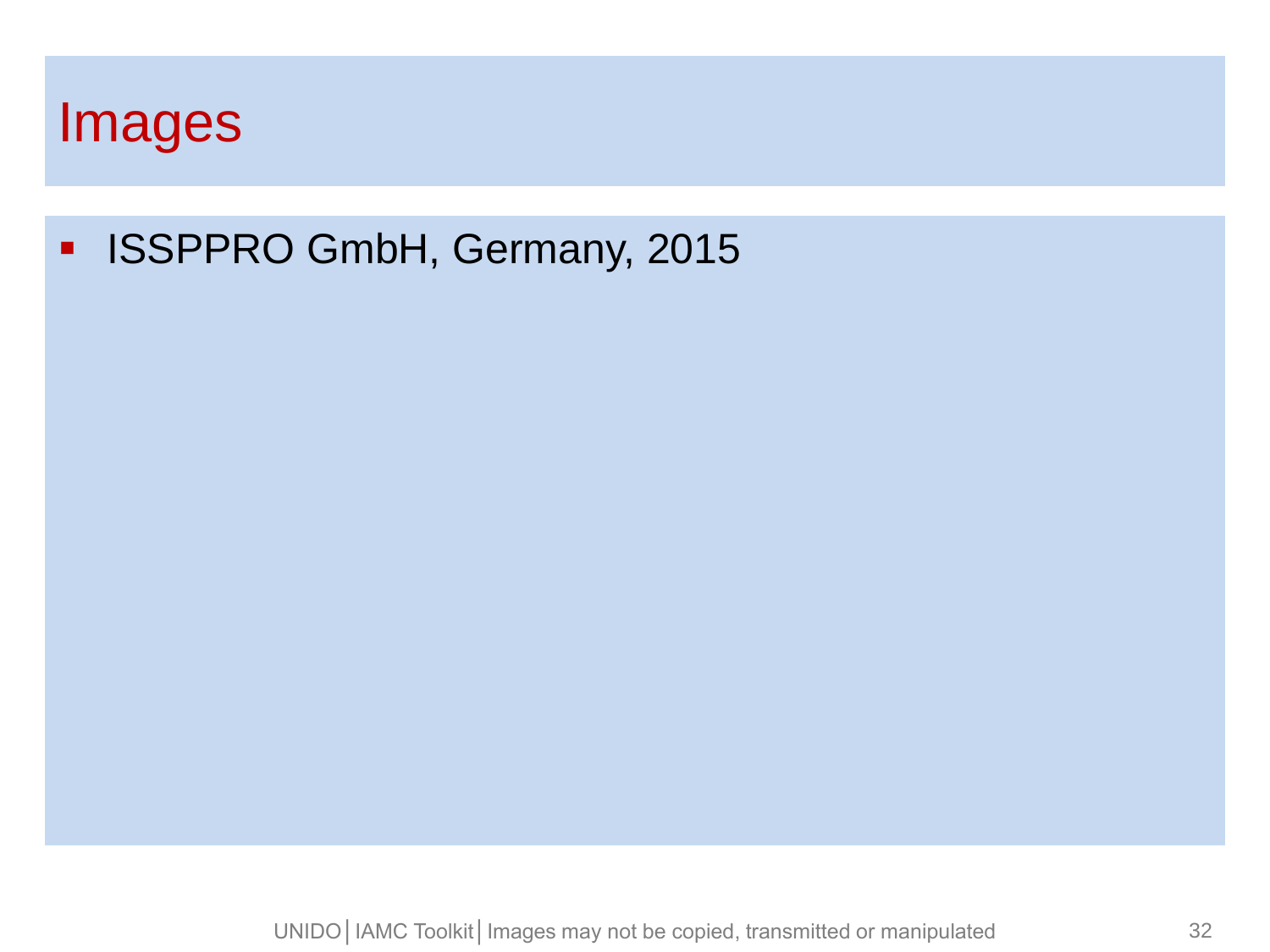

#### **ISSPPRO GmbH, Germany, 2015**

UNIDO | IAMC Toolkit | Images may not be copied, transmitted or manipulated 32